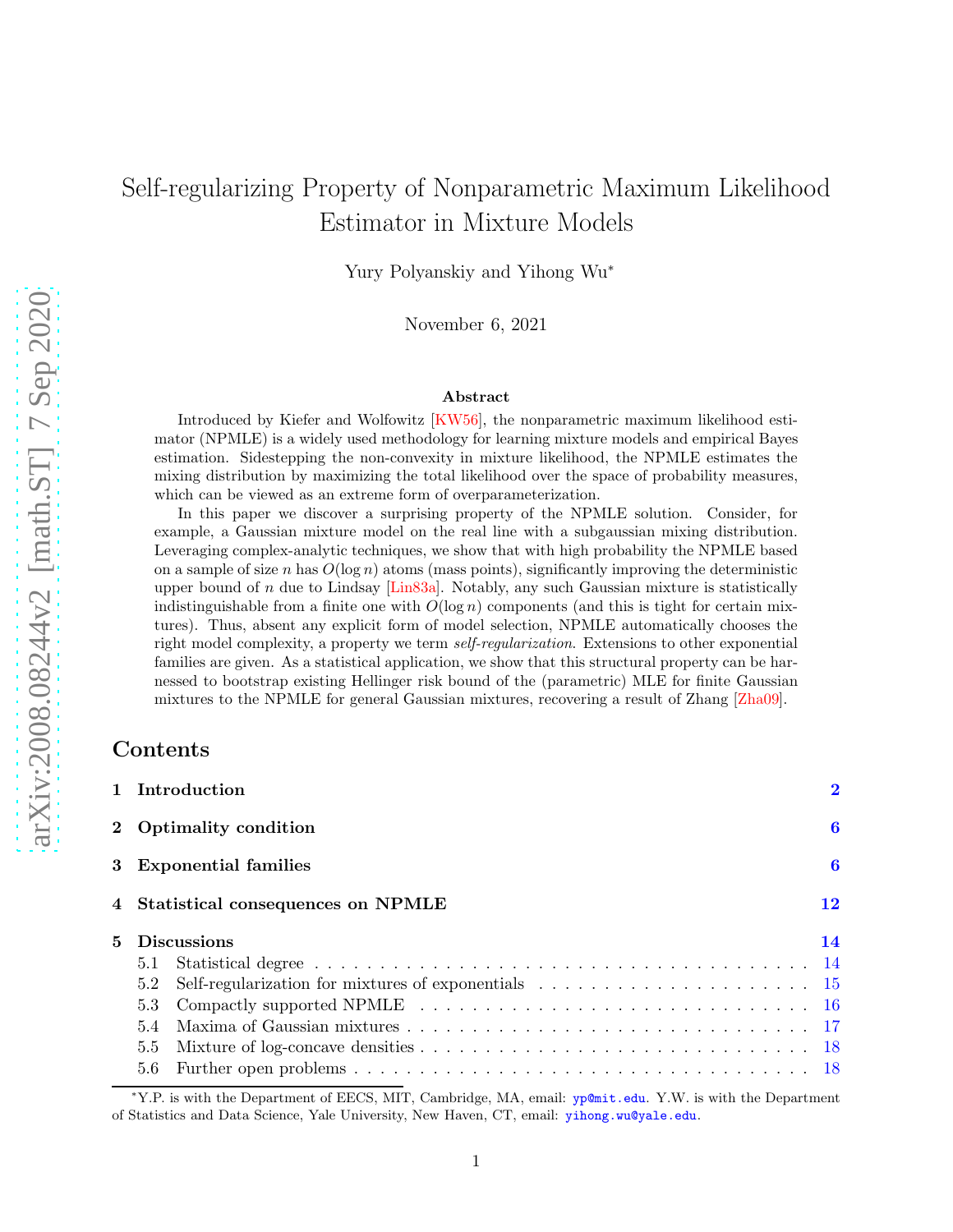# Self-regularizing Property of Nonparametric Maximum Likelihood Estimator in Mixture Models

Yury Polyanskiy and Yihong Wu<sup>∗</sup>

November 6, 2021

#### Abstract

Introduced by Kiefer and Wolfowitz [\[KW56\]](#page-21-0), the nonparametric maximum likelihood estimator (NPMLE) is a widely used methodology for learning mixture models and empirical Bayes estimation. Sidestepping the non-convexity in mixture likelihood, the NPMLE estimates the mixing distribution by maximizing the total likelihood over the space of probability measures, which can be viewed as an extreme form of overparameterization.

In this paper we discover a surprising property of the NPMLE solution. Consider, for example, a Gaussian mixture model on the real line with a subgaussian mixing distribution. Leveraging complex-analytic techniques, we show that with high probability the NPMLE based on a sample of size n has  $O(\log n)$  atoms (mass points), significantly improving the deterministic upper bound of n due to Lindsay [\[Lin83a\]](#page-21-1). Notably, any such Gaussian mixture is statistically indistinguishable from a finite one with  $O(\log n)$  components (and this is tight for certain mixtures). Thus, absent any explicit form of model selection, NPMLE automatically chooses the right model complexity, a property we term *self-regularization*. Extensions to other exponential families are given. As a statistical application, we show that this structural property can be harnessed to bootstrap existing Hellinger risk bound of the (parametric) MLE for finite Gaussian mixtures to the NPMLE for general Gaussian mixtures, recovering a result of Zhang [\[Zha09\]](#page-22-0).

### Contents

|   |                        | 1 Introduction                      | $\mathbf 2$ |  |
|---|------------------------|-------------------------------------|-------------|--|
|   | 2 Optimality condition |                                     | 6           |  |
|   |                        | 3 Exponential families              | 6           |  |
|   |                        | 4 Statistical consequences on NPMLE | 12          |  |
| 5 | <b>Discussions</b>     |                                     | 14          |  |
|   | 5.1                    |                                     |             |  |
|   | 5.2                    |                                     |             |  |
|   | 5.3                    |                                     |             |  |
|   | 5.4                    |                                     |             |  |
|   | 5.5                    |                                     |             |  |
|   | 5.6                    |                                     |             |  |

<sup>∗</sup>Y.P. is with the Department of EECS, MIT, Cambridge, MA, email: <yp@mit.edu>. Y.W. is with the Department of Statistics and Data Science, Yale University, New Haven, CT, email: <yihong.wu@yale.edu>.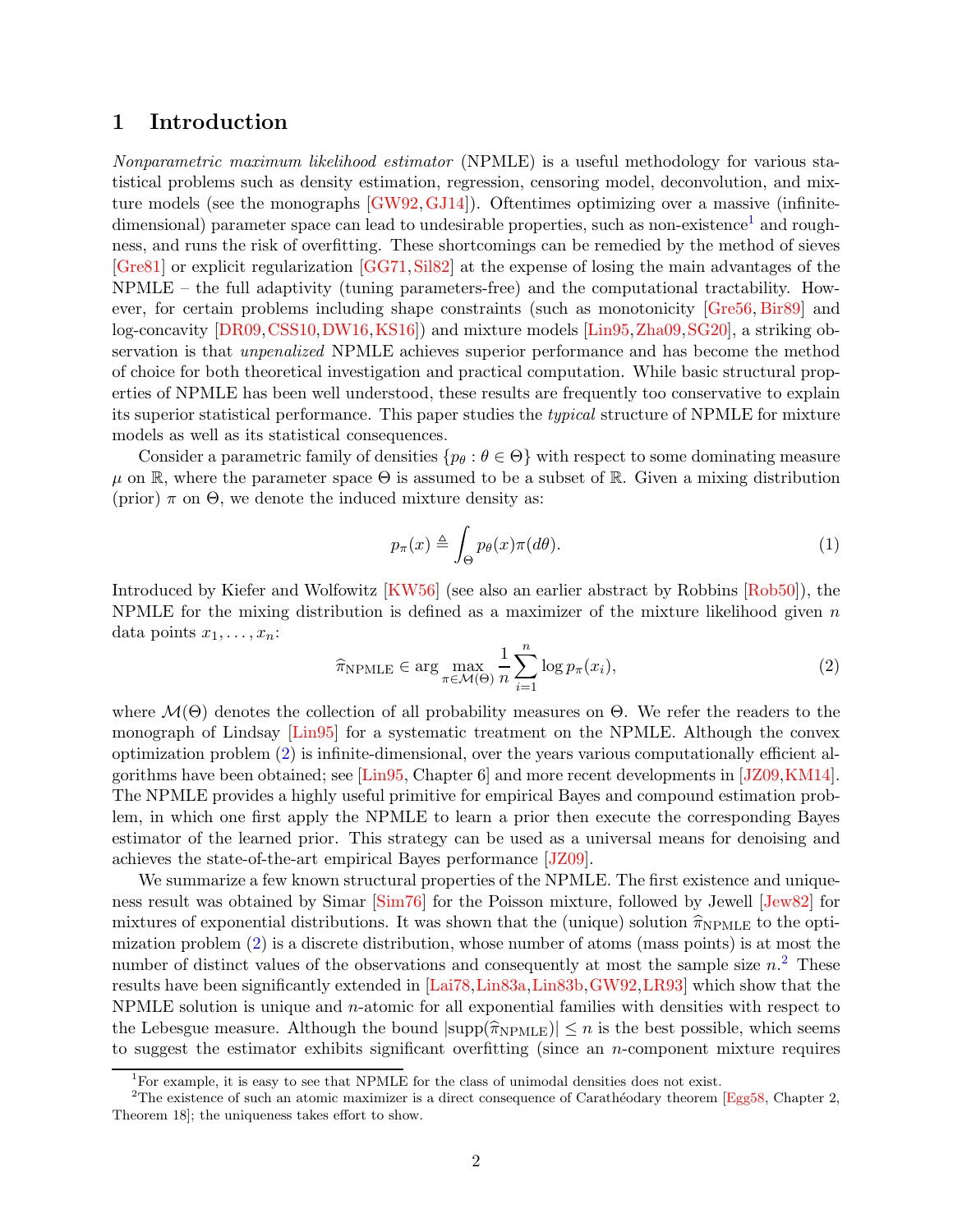### <span id="page-1-0"></span>1 Introduction

*Nonparametric maximum likelihood estimator* (NPMLE) is a useful methodology for various statistical problems such as density estimation, regression, censoring model, deconvolution, and mixture models (see the monographs [\[GW92,](#page-20-0)[GJ14\]](#page-19-0)). Oftentimes optimizing over a massive (infinite-dimensional) parameter space can lead to undesirable properties, such as non-existence<sup>[1](#page-1-1)</sup> and roughness, and runs the risk of overfitting. These shortcomings can be remedied by the method of sieves [\[Gre81\]](#page-20-1) or explicit regularization [\[GG71,](#page-19-1)[Sil82\]](#page-22-1) at the expense of losing the main advantages of the NPMLE – the full adaptivity (tuning parameters-free) and the computational tractability. However, for certain problems including shape constraints (such as monotonicity [\[Gre56,](#page-20-2) [Bir89\]](#page-19-2) and log-concavity [\[DR09,](#page-19-3)[CSS10,](#page-19-4)[DW16,](#page-19-5)[KS16\]](#page-21-2)) and mixture models [\[Lin95,](#page-21-3)[Zha09,](#page-22-0)[SG20\]](#page-21-4), a striking observation is that *unpenalized* NPMLE achieves superior performance and has become the method of choice for both theoretical investigation and practical computation. While basic structural properties of NPMLE has been well understood, these results are frequently too conservative to explain its superior statistical performance. This paper studies the *typical* structure of NPMLE for mixture models as well as its statistical consequences.

Consider a parametric family of densities  $\{p_\theta : \theta \in \Theta\}$  with respect to some dominating measure  $\mu$  on R, where the parameter space  $\Theta$  is assumed to be a subset of R. Given a mixing distribution (prior)  $\pi$  on  $\Theta$ , we denote the induced mixture density as:

<span id="page-1-4"></span>
$$
p_{\pi}(x) \triangleq \int_{\Theta} p_{\theta}(x)\pi(d\theta). \tag{1}
$$

Introduced by Kiefer and Wolfowitz [\[KW56\]](#page-21-0) (see also an earlier abstract by Robbins [\[Rob50\]](#page-21-5)), the NPMLE for the mixing distribution is defined as a maximizer of the mixture likelihood given  $n$ data points  $x_1, \ldots, x_n$ :

<span id="page-1-2"></span>
$$
\widehat{\pi}_{\text{NPMLE}} \in \arg\max_{\pi \in \mathcal{M}(\Theta)} \frac{1}{n} \sum_{i=1}^{n} \log p_{\pi}(x_i),\tag{2}
$$

where  $\mathcal{M}(\Theta)$  denotes the collection of all probability measures on  $\Theta$ . We refer the readers to the monograph of Lindsay [\[Lin95\]](#page-21-3) for a systematic treatment on the NPMLE. Although the convex optimization problem [\(2\)](#page-1-2) is infinite-dimensional, over the years various computationally efficient algorithms have been obtained; see [\[Lin95,](#page-21-3) Chapter 6] and more recent developments in [\[JZ09,](#page-20-3)[KM14\]](#page-21-6). The NPMLE provides a highly useful primitive for empirical Bayes and compound estimation problem, in which one first apply the NPMLE to learn a prior then execute the corresponding Bayes estimator of the learned prior. This strategy can be used as a universal means for denoising and achieves the state-of-the-art empirical Bayes performance [\[JZ09\]](#page-20-3).

We summarize a few known structural properties of the NPMLE. The first existence and uniqueness result was obtained by Simar [\[Sim76\]](#page-22-2) for the Poisson mixture, followed by Jewell [\[Jew82\]](#page-20-4) for mixtures of exponential distributions. It was shown that the (unique) solution  $\hat{\pi}_{NPMLE}$  to the optimization problem [\(2\)](#page-1-2) is a discrete distribution, whose number of atoms (mass points) is at most the number of distinct values of the observations and consequently at most the sample size  $n^2$  $n^2$ . These results have been significantly extended in [\[Lai78,](#page-21-7)[Lin83a,](#page-21-1)[Lin83b,](#page-21-8)[GW92,](#page-20-0)[LR93\]](#page-21-9) which show that the NPMLE solution is unique and n-atomic for all exponential families with densities with respect to the Lebesgue measure. Although the bound  $|\text{supp}(\widehat{\pi}_{\text{NPMLE}})| \leq n$  is the best possible, which seems to suggest the estimator exhibits significant overfitting (since an n-component mixture requires

<span id="page-1-1"></span><sup>&</sup>lt;sup>1</sup>For example, it is easy to see that NPMLE for the class of unimodal densities does not exist.

<span id="page-1-3"></span><sup>&</sup>lt;sup>2</sup>The existence of such an atomic maximizer is a direct consequence of Carathéodary theorem [\[Egg58,](#page-19-6) Chapter 2, Theorem 18]; the uniqueness takes effort to show.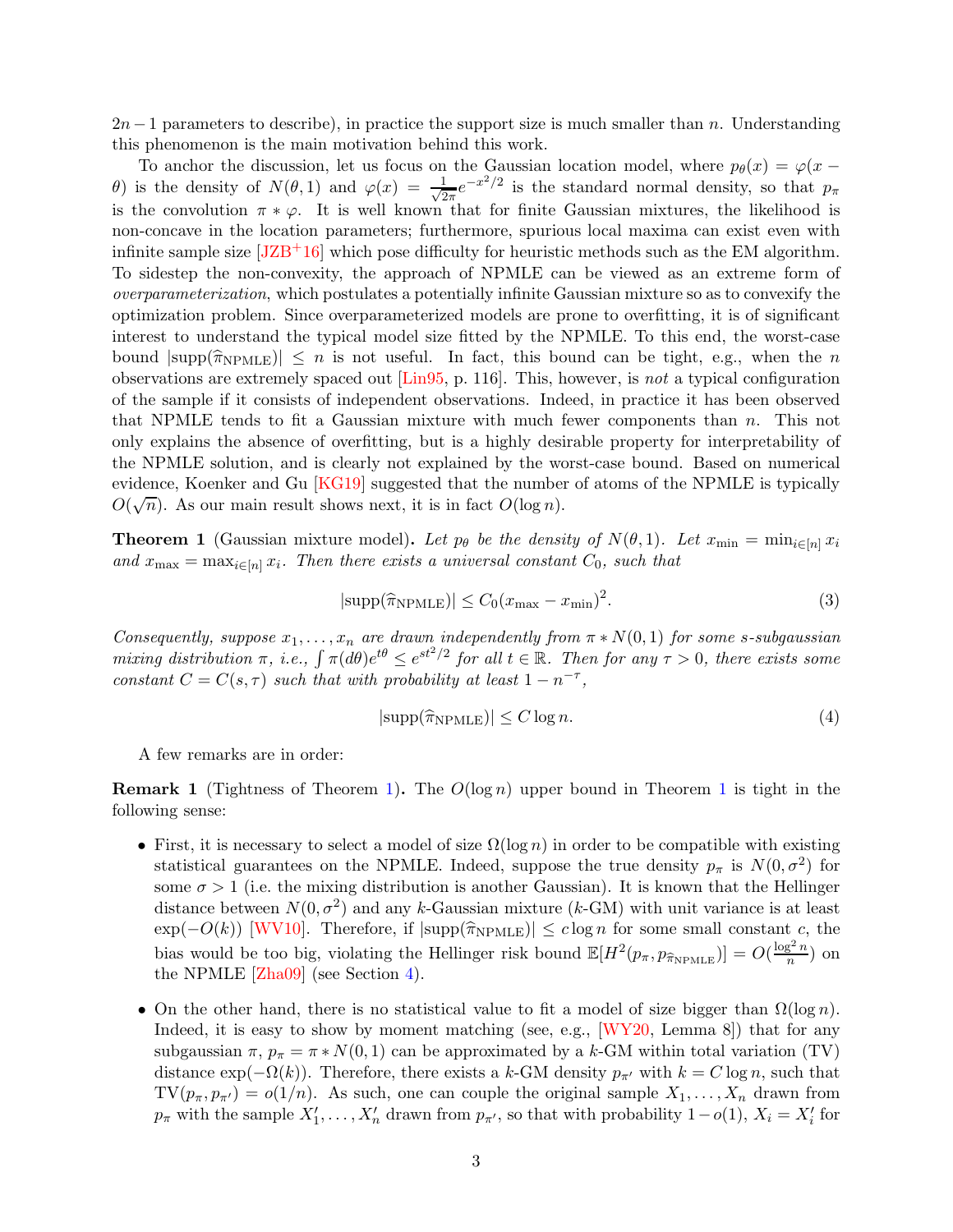$2n-1$  parameters to describe), in practice the support size is much smaller than n. Understanding this phenomenon is the main motivation behind this work.

To anchor the discussion, let us focus on the Gaussian location model, where  $p_{\theta}(x) = \varphi(x$ θ) is the density of  $N(θ, 1)$  and  $φ(x) = \frac{1}{\sqrt{6}}$  $\frac{1}{2\pi}e^{-x^2/2}$  is the standard normal density, so that  $p_\pi$ is the convolution  $\pi * \varphi$ . It is well known that for finite Gaussian mixtures, the likelihood is non-concave in the location parameters; furthermore, spurious local maxima can exist even with infinite sample size  $[JZB+16]$  which pose difficulty for heuristic methods such as the EM algorithm. To sidestep the non-convexity, the approach of NPMLE can be viewed as an extreme form of *overparameterization*, which postulates a potentially infinite Gaussian mixture so as to convexify the optimization problem. Since overparameterized models are prone to overfitting, it is of significant interest to understand the typical model size fitted by the NPMLE. To this end, the worst-case bound  $|\text{supp}(\widehat{\pi}_{\text{NPMLE}})| \leq n$  is not useful. In fact, this bound can be tight, e.g., when the n observations are extremely spaced out [\[Lin95,](#page-21-3) p. 116]. This, however, is *not* a typical configuration of the sample if it consists of independent observations. Indeed, in practice it has been observed that NPMLE tends to fit a Gaussian mixture with much fewer components than  $n$ . This not only explains the absence of overfitting, but is a highly desirable property for interpretability of the NPMLE solution, and is clearly not explained by the worst-case bound. Based on numerical evidence, Koenker and Gu [\[KG19\]](#page-20-6) suggested that the number of atoms of the NPMLE is typically  $O(\sqrt{n})$ . As our main result shows next, it is in fact  $O(\log n)$ .

<span id="page-2-0"></span>**Theorem 1** (Gaussian mixture model). Let  $p_{\theta}$  be the density of  $N(\theta, 1)$ . Let  $x_{\min} = \min_{i \in [n]} x_i$  $and$   $x_{\text{max}} = \max_{i \in [n]} x_i$ . Then there exists a universal constant  $C_0$ , such that

<span id="page-2-1"></span>
$$
|\text{supp}(\widehat{\pi}_{\text{NPMLE}})| \le C_0 (x_{\text{max}} - x_{\text{min}})^2. \tag{3}
$$

*Consequently, suppose*  $x_1, \ldots, x_n$  *are drawn independently from*  $\pi * N(0, 1)$  *for some s-subgaussian*  $mixing$  distribution  $\pi$ , *i.e.*,  $\int \pi(d\theta)e^{t\theta} \leq e^{st^2/2}$  for all  $t \in \mathbb{R}$ . Then for any  $\tau > 0$ , there exists some *constant*  $C = C(s, \tau)$  *such that with probability at least*  $1 - n^{-\tau}$ *,* 

$$
|\text{supp}(\hat{\pi}_{\text{NPMLE}})| \le C \log n. \tag{4}
$$

A few remarks are in order:

<span id="page-2-2"></span>**Remark [1](#page-2-0)** (Tightness of Theorem [1\)](#page-2-0). The  $O(log n)$  upper bound in Theorem 1 is tight in the following sense:

- First, it is necessary to select a model of size  $\Omega(\log n)$  in order to be compatible with existing statistical guarantees on the NPMLE. Indeed, suppose the true density  $p_{\pi}$  is  $N(0, \sigma^2)$  for some  $\sigma > 1$  (i.e. the mixing distribution is another Gaussian). It is known that the Hellinger distance between  $N(0, \sigma^2)$  and any k-Gaussian mixture (k-GM) with unit variance is at least  $\exp(-O(k))$  [\[WV10\]](#page-22-3). Therefore, if  $|\text{supp}(\hat{\pi}_{NPMLE})| \leq c \log n$  for some small constant c, the bias would be too big, violating the Hellinger risk bound  $\mathbb{E}[H^2(p_\pi, p_{\widehat{\pi}_{\text{NPMLE}}})] = O(\frac{\log^2 n}{n})$  $\frac{n}{n}$ ) on the NPMLE  $[Zha09]$  (see Section [4\)](#page-11-0).
- On the other hand, there is no statistical value to fit a model of size bigger than  $\Omega(\log n)$ . Indeed, it is easy to show by moment matching (see, e.g.,  $[WY20, \text{ Lemma } 8]$ ) that for any subgaussian  $\pi$ ,  $p_{\pi} = \pi * N(0, 1)$  can be approximated by a k-GM within total variation (TV) distance  $\exp(-\Omega(k))$ . Therefore, there exists a k-GM density  $p_{\pi'}$  with  $k = C \log n$ , such that  $TV(p_{\pi}, p_{\pi'}) = o(1/n)$ . As such, one can couple the original sample  $X_1, \ldots, X_n$  drawn from  $p_{\pi}$  with the sample  $X'_1, \ldots, X'_n$  drawn from  $p_{\pi'}$ , so that with probability  $1-o(1)$ ,  $X_i = X'_i$  for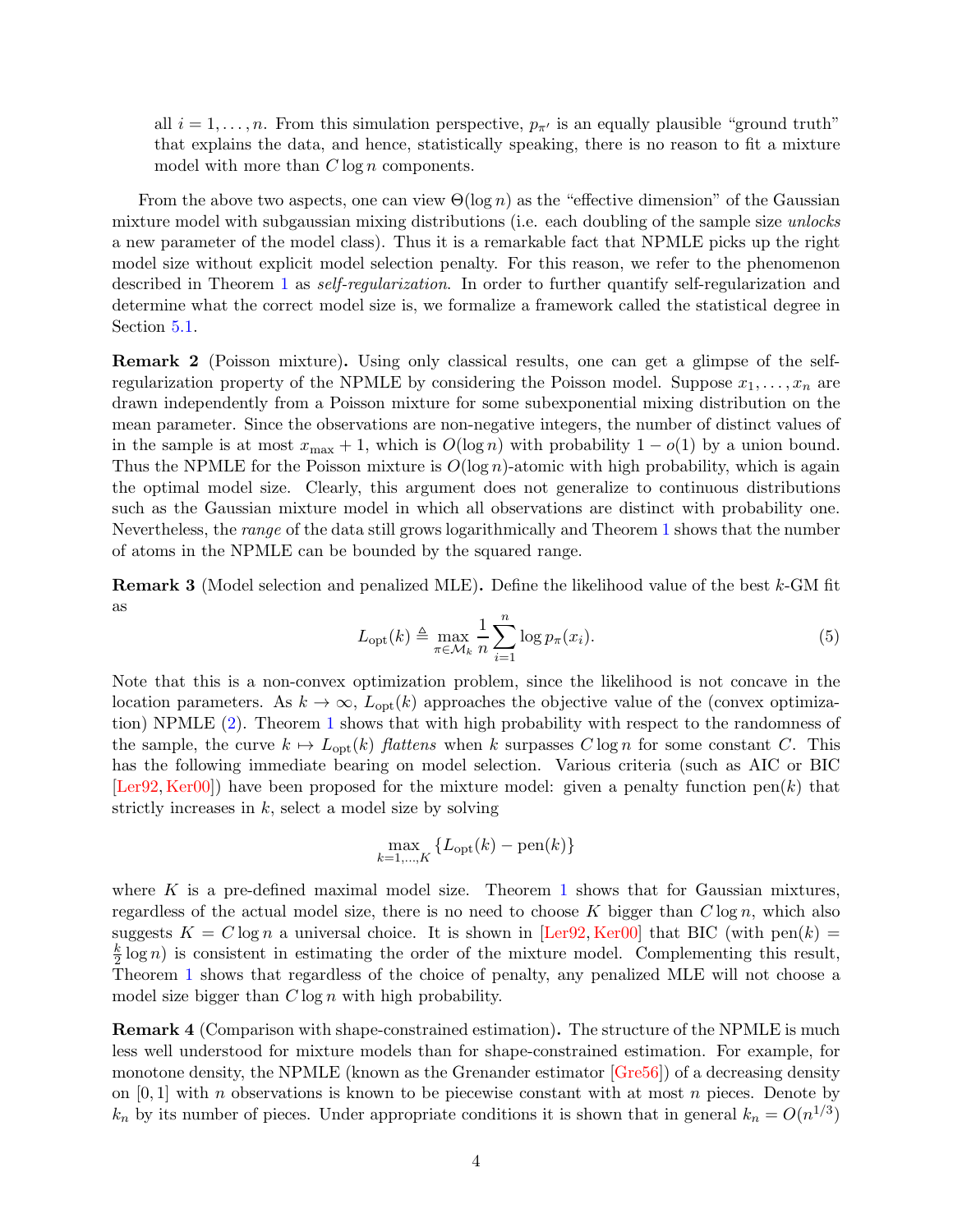all  $i = 1, \ldots, n$ . From this simulation perspective,  $p_{\pi'}$  is an equally plausible "ground truth" that explains the data, and hence, statistically speaking, there is no reason to fit a mixture model with more than  $C \log n$  components.

From the above two aspects, one can view  $\Theta(\log n)$  as the "effective dimension" of the Gaussian mixture model with subgaussian mixing distributions (i.e. each doubling of the sample size *unlocks* a new parameter of the model class). Thus it is a remarkable fact that NPMLE picks up the right model size without explicit model selection penalty. For this reason, we refer to the phenomenon described in Theorem [1](#page-2-0) as *self-regularization*. In order to further quantify self-regularization and determine what the correct model size is, we formalize a framework called the statistical degree in Section [5.1.](#page-13-1)

<span id="page-3-0"></span>Remark 2 (Poisson mixture). Using only classical results, one can get a glimpse of the selfregularization property of the NPMLE by considering the Poisson model. Suppose  $x_1, \ldots, x_n$  are drawn independently from a Poisson mixture for some subexponential mixing distribution on the mean parameter. Since the observations are non-negative integers, the number of distinct values of in the sample is at most  $x_{\text{max}} + 1$ , which is  $O(\log n)$  with probability  $1 - o(1)$  by a union bound. Thus the NPMLE for the Poisson mixture is  $O(\log n)$ -atomic with high probability, which is again the optimal model size. Clearly, this argument does not generalize to continuous distributions such as the Gaussian mixture model in which all observations are distinct with probability one. Nevertheless, the *range* of the data still grows logarithmically and Theorem [1](#page-2-0) shows that the number of atoms in the NPMLE can be bounded by the squared range.

**Remark 3** (Model selection and penalized MLE). Define the likelihood value of the best  $k$ -GM fit as

$$
L_{\text{opt}}(k) \triangleq \max_{\pi \in \mathcal{M}_k} \frac{1}{n} \sum_{i=1}^n \log p_{\pi}(x_i). \tag{5}
$$

Note that this is a non-convex optimization problem, since the likelihood is not concave in the location parameters. As  $k \to \infty$ ,  $L_{opt}(k)$  approaches the objective value of the (convex optimization) NPMLE [\(2\)](#page-1-2). Theorem [1](#page-2-0) shows that with high probability with respect to the randomness of the sample, the curve  $k \mapsto L_{opt}(k)$  *flattens* when k surpasses C log n for some constant C. This has the following immediate bearing on model selection. Various criteria (such as AIC or BIC  $[\text{Ler92}, \text{Ker00}]$  have been proposed for the mixture model: given a penalty function pen $(k)$  that strictly increases in  $k$ , select a model size by solving

$$
\max_{k=1,\dots,K} \left\{ L_{\text{opt}}(k) - \text{pen}(k) \right\}
$$

where K is a pre-defined maximal model size. Theorem [1](#page-2-0) shows that for Gaussian mixtures, regardless of the actual model size, there is no need to choose K bigger than  $C \log n$ , which also suggests  $K = C \log n$  a universal choice. It is shown in [\[Ler92,](#page-21-10) [Ker00\]](#page-20-7) that BIC (with pen(k) = k  $\frac{k}{2}$  log n) is consistent in estimating the order of the mixture model. Complementing this result, Theorem [1](#page-2-0) shows that regardless of the choice of penalty, any penalized MLE will not choose a model size bigger than  $C \log n$  with high probability.

Remark 4 (Comparison with shape-constrained estimation). The structure of the NPMLE is much less well understood for mixture models than for shape-constrained estimation. For example, for monotone density, the NPMLE (known as the Grenander estimator  $[Gre56]$ ) of a decreasing density on  $[0, 1]$  with n observations is known to be piecewise constant with at most n pieces. Denote by  $k_n$  by its number of pieces. Under appropriate conditions it is shown that in general  $k_n = O(n^{1/3})$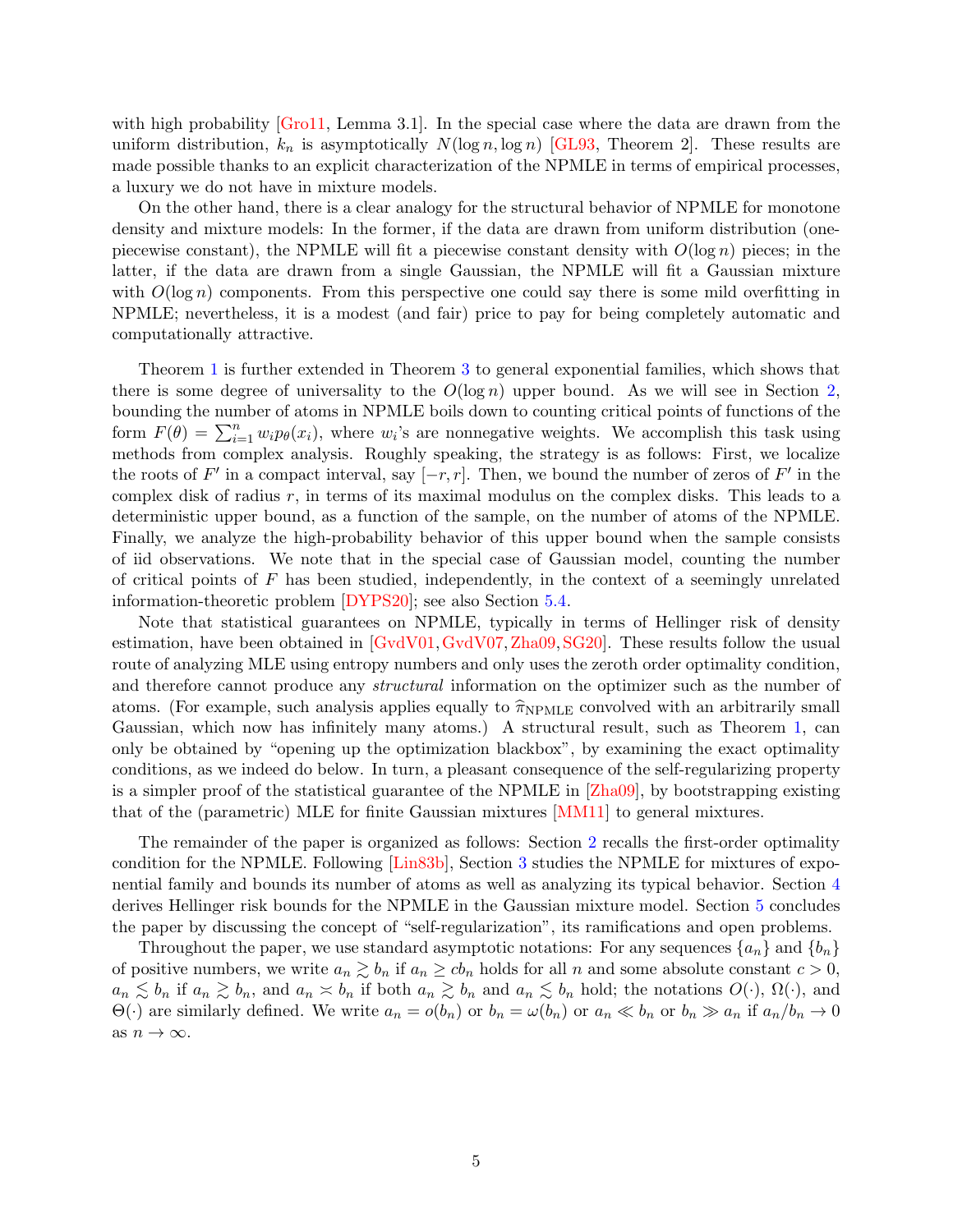with high probability [\[Gro11,](#page-20-8) Lemma 3.1]. In the special case where the data are drawn from the uniform distribution,  $k_n$  is asymptotically  $N(\log n, \log n)$  [\[GL93,](#page-20-9) Theorem 2]. These results are made possible thanks to an explicit characterization of the NPMLE in terms of empirical processes, a luxury we do not have in mixture models.

On the other hand, there is a clear analogy for the structural behavior of NPMLE for monotone density and mixture models: In the former, if the data are drawn from uniform distribution (onepiecewise constant), the NPMLE will fit a piecewise constant density with  $O(\log n)$  pieces; in the latter, if the data are drawn from a single Gaussian, the NPMLE will fit a Gaussian mixture with  $O(\log n)$  components. From this perspective one could say there is some mild overfitting in NPMLE; nevertheless, it is a modest (and fair) price to pay for being completely automatic and computationally attractive.

Theorem [1](#page-2-0) is further extended in Theorem [3](#page-6-0) to general exponential families, which shows that there is some degree of universality to the  $O(\log n)$  upper bound. As we will see in Section [2,](#page-5-0) bounding the number of atoms in NPMLE boils down to counting critical points of functions of the form  $F(\theta) = \sum_{i=1}^n w_i p_\theta(x_i)$ , where  $w_i$ 's are nonnegative weights. We accomplish this task using methods from complex analysis. Roughly speaking, the strategy is as follows: First, we localize the roots of  $F'$  in a compact interval, say  $[-r,r]$ . Then, we bound the number of zeros of  $F'$  in the complex disk of radius  $r$ , in terms of its maximal modulus on the complex disks. This leads to a deterministic upper bound, as a function of the sample, on the number of atoms of the NPMLE. Finally, we analyze the high-probability behavior of this upper bound when the sample consists of iid observations. We note that in the special case of Gaussian model, counting the number of critical points of  $F$  has been studied, independently, in the context of a seemingly unrelated information-theoretic problem [\[DYPS20\]](#page-19-7); see also Section [5.4.](#page-16-0)

Note that statistical guarantees on NPMLE, typically in terms of Hellinger risk of density estimation, have been obtained in [\[GvdV01,](#page-20-10)[GvdV07,](#page-20-11)[Zha09,](#page-22-0)[SG20\]](#page-21-4). These results follow the usual route of analyzing MLE using entropy numbers and only uses the zeroth order optimality condition, and therefore cannot produce any *structural* information on the optimizer such as the number of atoms. (For example, such analysis applies equally to  $\hat{\pi}_{NPMLE}$  convolved with an arbitrarily small Gaussian, which now has infinitely many atoms.) A structural result, such as Theorem [1,](#page-2-0) can only be obtained by "opening up the optimization blackbox", by examining the exact optimality conditions, as we indeed do below. In turn, a pleasant consequence of the self-regularizing property is a simpler proof of the statistical guarantee of the NPMLE in [\[Zha09\]](#page-22-0), by bootstrapping existing that of the (parametric) MLE for finite Gaussian mixtures [\[MM11\]](#page-21-11) to general mixtures.

The remainder of the paper is organized as follows: Section [2](#page-5-0) recalls the first-order optimality condition for the NPMLE. Following [\[Lin83b\]](#page-21-8), Section [3](#page-5-1) studies the NPMLE for mixtures of exponential family and bounds its number of atoms as well as analyzing its typical behavior. Section [4](#page-11-0) derives Hellinger risk bounds for the NPMLE in the Gaussian mixture model. Section [5](#page-13-0) concludes the paper by discussing the concept of "self-regularization", its ramifications and open problems.

Throughout the paper, we use standard asymptotic notations: For any sequences  $\{a_n\}$  and  $\{b_n\}$ of positive numbers, we write  $a_n \gtrsim b_n$  if  $a_n \geq cb_n$  holds for all n and some absolute constant  $c > 0$ ,  $a_n \lesssim b_n$  if  $a_n \gtrsim b_n$ , and  $a_n \gtrsim b_n$  if both  $a_n \gtrsim b_n$  and  $a_n \lesssim b_n$  hold; the notations  $O(\cdot)$ ,  $\Omega(\cdot)$ , and  $\Theta(\cdot)$  are similarly defined. We write  $a_n = o(b_n)$  or  $b_n = \omega(b_n)$  or  $a_n \ll b_n$  or  $b_n \gg a_n$  if  $a_n/b_n \to 0$ as  $n \to \infty$ .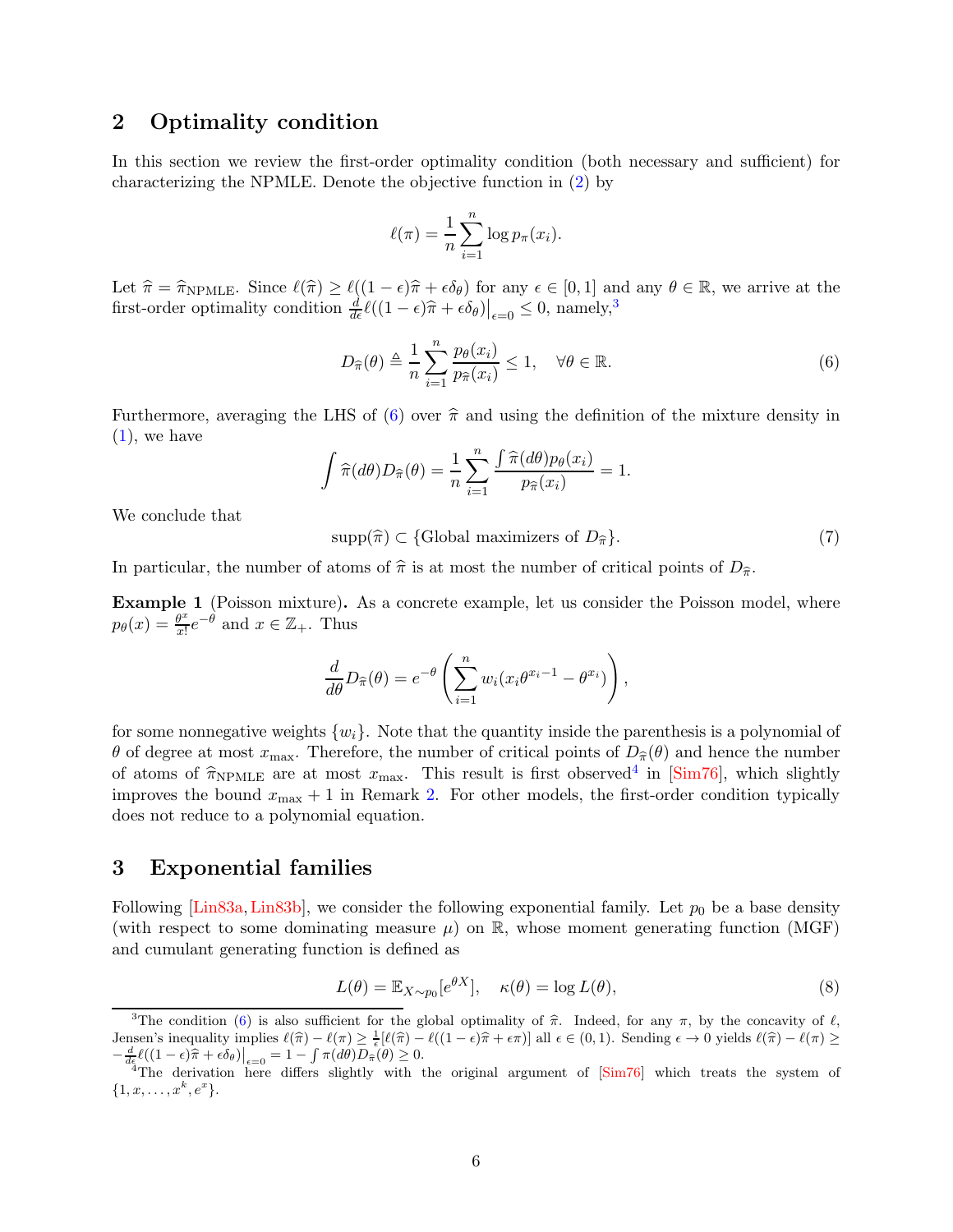### <span id="page-5-0"></span>2 Optimality condition

In this section we review the first-order optimality condition (both necessary and sufficient) for characterizing the NPMLE. Denote the objective function in [\(2\)](#page-1-2) by

$$
\ell(\pi) = \frac{1}{n} \sum_{i=1}^{n} \log p_{\pi}(x_i).
$$

Let  $\hat{\pi} = \hat{\pi}_{\text{NPMLE}}$ . Since  $\ell(\hat{\pi}) \geq \ell((1 - \epsilon)\hat{\pi} + \epsilon \delta_{\theta})$  for any  $\epsilon \in [0, 1]$  and any  $\theta \in \mathbb{R}$ , we arrive at the first-order optimality condition  $\frac{d}{d\epsilon}\ell((1-\epsilon)\hat{\pi}+\epsilon\delta_{\theta})\big|_{\epsilon=0} \leq 0$ , namely,<sup>[3](#page-5-2)</sup>

<span id="page-5-3"></span>
$$
D_{\widehat{\pi}}(\theta) \triangleq \frac{1}{n} \sum_{i=1}^{n} \frac{p_{\theta}(x_i)}{p_{\widehat{\pi}}(x_i)} \le 1, \quad \forall \theta \in \mathbb{R}.
$$
 (6)

Furthermore, averaging the LHS of [\(6\)](#page-5-3) over  $\hat{\pi}$  and using the definition of the mixture density in  $(1)$ , we have

$$
\int \widehat{\pi}(d\theta) D_{\widehat{\pi}}(\theta) = \frac{1}{n} \sum_{i=1}^{n} \frac{\int \widehat{\pi}(d\theta) p_{\theta}(x_i)}{p_{\widehat{\pi}}(x_i)} = 1.
$$

We conclude that

<span id="page-5-5"></span> $\text{supp}(\hat{\pi}) \subset \{\text{Global maximizers of } D_{\hat{\pi}}\}.$  (7)

In particular, the number of atoms of  $\hat{\pi}$  is at most the number of critical points of  $D_{\hat{\pi}}$ .

<span id="page-5-6"></span>Example 1 (Poisson mixture). As a concrete example, let us consider the Poisson model, where  $p_{\theta}(x) = \frac{\theta^x}{x!}$  $\frac{\theta^x}{x!}e^{-\theta}$  and  $x \in \mathbb{Z}_+$ . Thus

$$
\frac{d}{d\theta}D_{\widehat{\pi}}(\theta) = e^{-\theta} \left( \sum_{i=1}^n w_i (x_i \theta^{x_i-1} - \theta^{x_i}) \right),
$$

for some nonnegative weights  $\{w_i\}$ . Note that the quantity inside the parenthesis is a polynomial of θ of degree at most  $x_{\text{max}}$ . Therefore, the number of critical points of  $D_{\hat{\pi}}(\theta)$  and hence the number of atoms of  $\hat{\pi}_{\text{NPMLE}}$  are at most  $x_{\text{max}}$ . This result is first observed<sup>[4](#page-5-4)</sup> in [\[Sim76\]](#page-22-2), which slightly improves the bound  $x_{\text{max}} + 1$  in Remark [2.](#page-3-0) For other models, the first-order condition typically does not reduce to a polynomial equation.

### <span id="page-5-1"></span>3 Exponential families

Following [\[Lin83a,](#page-21-1) [Lin83b\]](#page-21-8), we consider the following exponential family. Let  $p_0$  be a base density (with respect to some dominating measure  $\mu$ ) on R, whose moment generating function (MGF) and cumulant generating function is defined as

$$
L(\theta) = \mathbb{E}_{X \sim p_0}[e^{\theta X}], \quad \kappa(\theta) = \log L(\theta), \tag{8}
$$

<span id="page-5-2"></span><sup>&</sup>lt;sup>3</sup>The condition [\(6\)](#page-5-3) is also sufficient for the global optimality of  $\hat{\pi}$ . Indeed, for any  $\pi$ , by the concavity of  $\ell$ , Jensen's inequality implies  $\ell(\hat{\pi}) - \ell(\pi) \geq \frac{1}{\epsilon} [\ell(\hat{\pi}) - \ell((1-\epsilon)\hat{\pi} + \epsilon \pi)]$  all  $\epsilon \in (0,1)$ . Sending  $\epsilon \to 0$  yields  $\ell(\hat{\pi}) - \ell(\pi) \geq$  $\frac{d}{d\epsilon}\ell((1-\epsilon)\widehat{\pi} + \epsilon \delta_{\theta})\Big|_{\epsilon=0} = 1 - \int \pi(d\theta)D_{\widehat{\pi}}(\theta) \geq 0.$ 

<span id="page-5-4"></span><sup>&</sup>lt;sup>4</sup>The derivation here differs slightly with the original argument of  $\text{[Sim76]}$  which treats the system of  $\{1, x, \ldots, x^k, e^x\}.$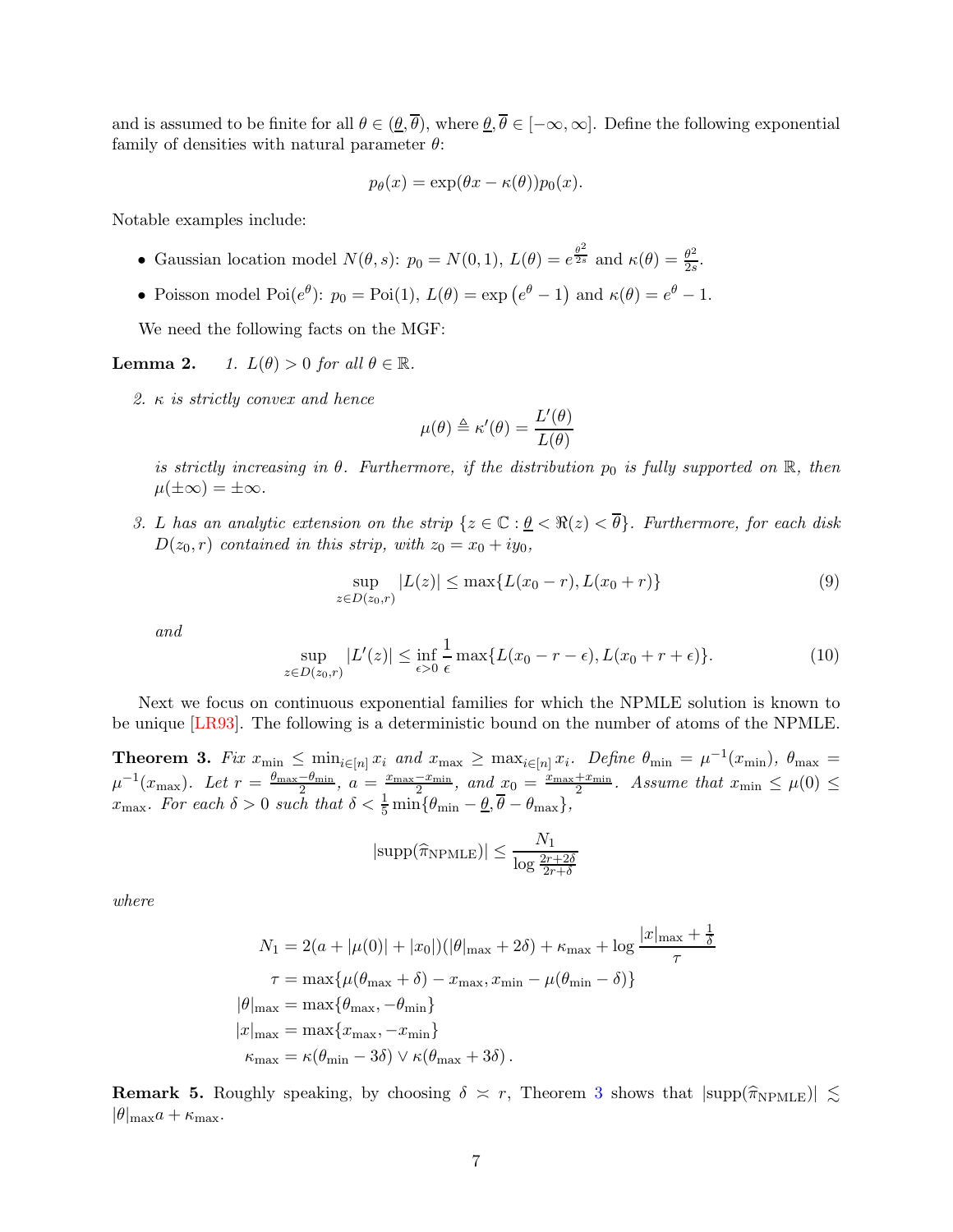and is assumed to be finite for all  $\theta \in (\underline{\theta}, \overline{\theta})$ , where  $\underline{\theta}, \overline{\theta} \in [-\infty, \infty]$ . Define the following exponential family of densities with natural parameter  $\theta$ :

$$
p_{\theta}(x) = \exp(\theta x - \kappa(\theta))p_0(x).
$$

Notable examples include:

- Gaussian location model  $N(\theta, s)$ :  $p_0 = N(0, 1), L(\theta) = e^{\frac{\theta^2}{2s}}$  and  $\kappa(\theta) = \frac{\theta^2}{2s}$  $rac{\theta^2}{2s}$ .
- Poisson model Poi $(e^{\theta})$ :  $p_0 = \text{Poi}(1), L(\theta) = \exp(e^{\theta} 1)$  and  $\kappa(\theta) = e^{\theta} 1$ .

We need the following facts on the MGF:

**Lemma 2.** *1.*  $L(\theta) > 0$  *for all*  $\theta \in \mathbb{R}$ *.* 

*2.* κ *is strictly convex and hence*

$$
\mu(\theta) \triangleq \kappa'(\theta) = \frac{L'(\theta)}{L(\theta)}
$$

*is strictly increasing in*  $\theta$ *. Furthermore, if the distribution*  $p_0$  *is fully supported on*  $\mathbb{R}$ *, then*  $\mu(\pm\infty) = \pm\infty$ .

*3.* L has an analytic extension on the strip  $\{z \in \mathbb{C} : \underline{\theta} < \Re(z) < \overline{\theta}\}$ . Furthermore, for each disk  $D(z_0, r)$  *contained in this strip, with*  $z_0 = x_0 + iy_0$ ,

$$
\sup_{z \in D(z_0, r)} |L(z)| \le \max\{L(x_0 - r), L(x_0 + r)\}\tag{9}
$$

*and*

$$
\sup_{z \in D(z_0,r)} |L'(z)| \le \inf_{\epsilon > 0} \frac{1}{\epsilon} \max\{L(x_0 - r - \epsilon), L(x_0 + r + \epsilon)\}.
$$
 (10)

Next we focus on continuous exponential families for which the NPMLE solution is known to be unique [\[LR93\]](#page-21-9). The following is a deterministic bound on the number of atoms of the NPMLE.

<span id="page-6-0"></span>**Theorem 3.** Fix  $x_{\min} \leq \min_{i \in [n]} x_i$  and  $x_{\max} \geq \max_{i \in [n]} x_i$ . Define  $\theta_{\min} = \mu^{-1}(x_{\min})$ ,  $\theta_{\max} =$  $\mu^{-1}(x_{\max}).$  Let  $r = \frac{\theta_{\max}-\theta_{\min}}{2}, a = \frac{x_{\max}-x_{\min}}{2}, and \underline{x}_0 = \frac{x_{\max}+x_{\min}}{2}$  $\frac{2+x_{\min}}{2}$ . Assume that  $x_{\min} \leq \mu(0) \leq$  $x_{\text{max}}$ *. For each*  $\delta > 0$  *such that*  $\delta < \frac{1}{5} \min{\theta_{\text{min}} - \underline{\theta}, \overline{\theta} - \theta_{\text{max}}\},$ 

$$
|\text{supp}(\widehat{\pi}_{\text{NPMLE}})| \le \frac{N_1}{\log \frac{2r+2\delta}{2r+\delta}}
$$

*where*

$$
N_1 = 2(a + |\mu(0)| + |x_0|)(|\theta|_{\max} + 2\delta) + \kappa_{\max} + \log \frac{|x|_{\max} + \frac{1}{\delta}}{\tau}
$$
  

$$
\tau = \max{\{\mu(\theta_{\max} + \delta) - x_{\max}, x_{\min} - \mu(\theta_{\min} - \delta)\}}
$$
  

$$
|\theta|_{\max} = \max{\{\theta_{\max}, -\theta_{\min}\}}
$$
  

$$
|x|_{\max} = \max{x_{\max}, -x_{\min}\}
$$
  

$$
\kappa_{\max} = \kappa(\theta_{\min} - 3\delta) \vee \kappa(\theta_{\max} + 3\delta).
$$

**Remark 5.** Roughly speaking, by choosing  $\delta \approx r$ , Theorem [3](#page-6-0) shows that  $|\text{supp}(\hat{\pi}_{\text{NPMLE}})| \lesssim$  $|\theta|_{\text{max}}a + \kappa_{\text{max}}.$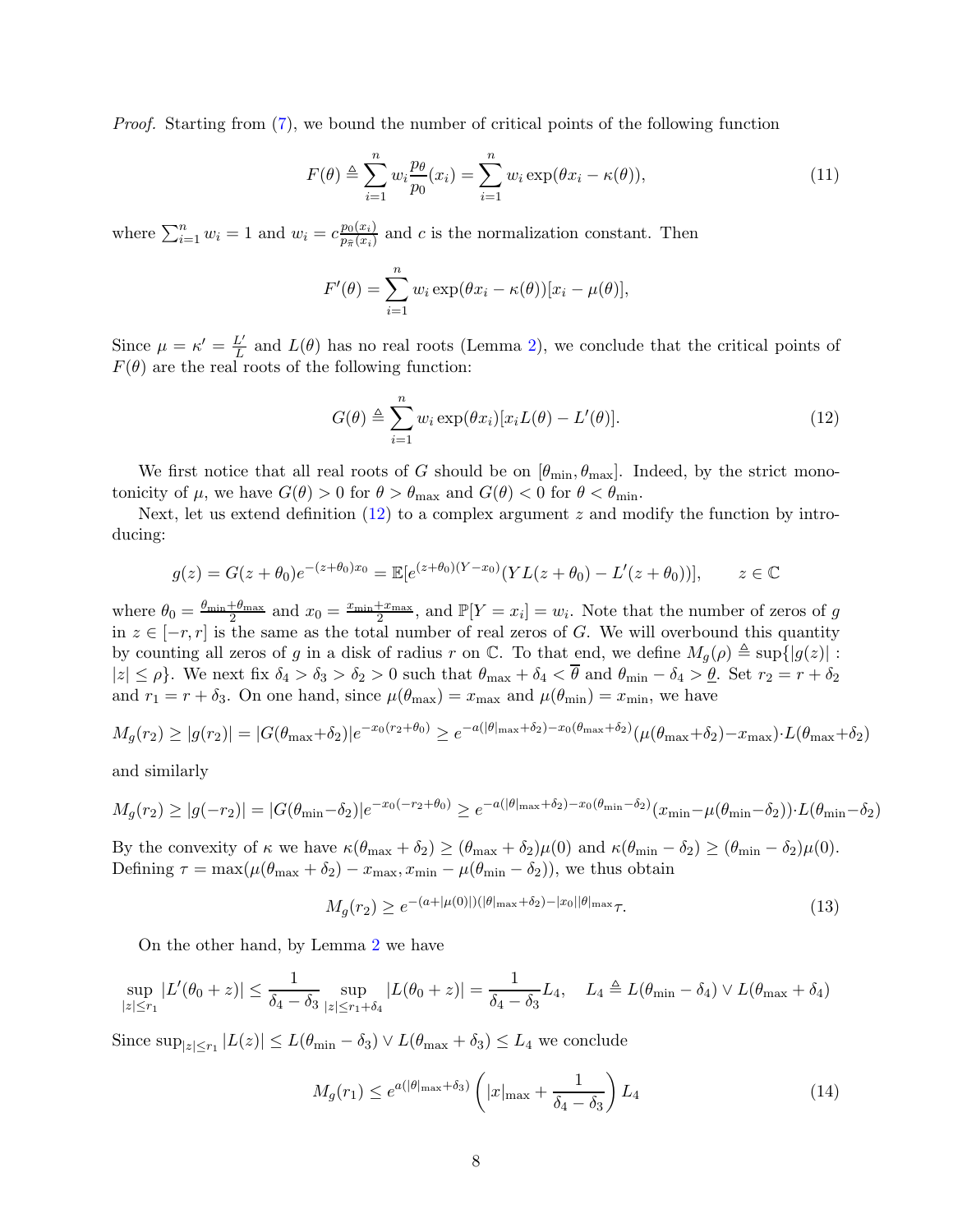*Proof.* Starting from [\(7\)](#page-5-5), we bound the number of critical points of the following function

<span id="page-7-1"></span>
$$
F(\theta) \triangleq \sum_{i=1}^{n} w_i \frac{p_\theta}{p_0}(x_i) = \sum_{i=1}^{n} w_i \exp(\theta x_i - \kappa(\theta)),
$$
\n(11)

where  $\sum_{i=1}^{n} w_i = 1$  and  $w_i = c \frac{p_0(x_i)}{p_{\widehat{\pi}}(x_i)}$  $\frac{p_0(x_i)}{p_{\hat{\pi}}(x_i)}$  and c is the normalization constant. Then

$$
F'(\theta) = \sum_{i=1}^{n} w_i \exp(\theta x_i - \kappa(\theta)) [x_i - \mu(\theta)],
$$

Since  $\mu = \kappa' = \frac{L'}{L}$  $\frac{L'}{L}$  and  $L(\theta)$  has no real roots (Lemma 2), we conclude that the critical points of  $F(\theta)$  are the real roots of the following function:

<span id="page-7-0"></span>
$$
G(\theta) \triangleq \sum_{i=1}^{n} w_i \exp(\theta x_i) [x_i L(\theta) - L'(\theta)].
$$
\n(12)

We first notice that all real roots of G should be on  $[\theta_{\min}, \theta_{\max}]$ . Indeed, by the strict monotonicity of  $\mu$ , we have  $G(\theta) > 0$  for  $\theta > \theta_{\text{max}}$  and  $G(\theta) < 0$  for  $\theta < \theta_{\text{min}}$ .

Next, let us extend definition  $(12)$  to a complex argument z and modify the function by introducing:

$$
g(z) = G(z + \theta_0)e^{-(z + \theta_0)x_0} = \mathbb{E}[e^{(z + \theta_0)(Y - x_0)}(YL(z + \theta_0) - L'(z + \theta_0))], \qquad z \in \mathbb{C}
$$

where  $\theta_0 = \frac{\theta_{\min} + \theta_{\max}}{2}$  $rac{+\theta_{\text{max}}}{2}$  and  $x_0 = \frac{x_{\text{min}} + x_{\text{max}}}{2}$  $\frac{1+x_{\text{max}}}{2}$ , and  $\mathbb{P}[Y=x_i] = w_i$ . Note that the number of zeros of g in  $z \in [-r, r]$  is the same as the total number of real zeros of G. We will overbound this quantity by counting all zeros of g in a disk of radius r on  $\mathbb{C}$ . To that end, we define  $M_q(\rho) \triangleq \sup\{|g(z)|$ :  $|z| \leq \rho$ . We next fix  $\delta_4 > \delta_3 > \delta_2 > 0$  such that  $\theta_{\text{max}} + \delta_4 < \overline{\theta}$  and  $\theta_{\text{min}} - \delta_4 > \underline{\theta}$ . Set  $r_2 = r + \delta_2$ and  $r_1 = r + \delta_3$ . On one hand, since  $\mu(\theta_{\text{max}}) = x_{\text{max}}$  and  $\mu(\theta_{\text{min}}) = x_{\text{min}}$ , we have

$$
M_g(r_2) \ge |g(r_2)| = |G(\theta_{\max} + \delta_2)|e^{-x_0(r_2 + \theta_0)} \ge e^{-a(|\theta|_{\max} + \delta_2) - x_0(\theta_{\max} + \delta_2)} (\mu(\theta_{\max} + \delta_2) - x_{\max}) \cdot L(\theta_{\max} + \delta_2)
$$

and similarly

$$
M_g(r_2) \ge |g(-r_2)| = |G(\theta_{\min} - \delta_2)|e^{-x_0(-r_2 + \theta_0)} \ge e^{-a(|\theta|_{\max} + \delta_2) - x_0(\theta_{\min} - \delta_2)}(x_{\min} - \mu(\theta_{\min} - \delta_2)) \cdot L(\theta_{\min} - \delta_2)
$$

By the convexity of  $\kappa$  we have  $\kappa(\theta_{\text{max}} + \delta_2) \geq (\theta_{\text{max}} + \delta_2)\mu(0)$  and  $\kappa(\theta_{\text{min}} - \delta_2) \geq (\theta_{\text{min}} - \delta_2)\mu(0)$ . Defining  $\tau = \max(\mu(\theta_{\text{max}} + \delta_2) - x_{\text{max}}, x_{\text{min}} - \mu(\theta_{\text{min}} - \delta_2))$ , we thus obtain

$$
M_g(r_2) \ge e^{-(a+|\mu(0)|)(|\theta|_{\max} + \delta_2) - |x_0||\theta|_{\max}} \tau.
$$
\n(13)

On the other hand, by Lemma 2 we have

$$
\sup_{|z| \le r_1} |L'(\theta_0 + z)| \le \frac{1}{\delta_4 - \delta_3} \sup_{|z| \le r_1 + \delta_4} |L(\theta_0 + z)| = \frac{1}{\delta_4 - \delta_3} L_4, \quad L_4 \triangleq L(\theta_{\min} - \delta_4) \vee L(\theta_{\max} + \delta_4)
$$

Since  $\sup_{|z| \le r_1} |L(z)| \le L(\theta_{\min} - \delta_3) \vee L(\theta_{\max} + \delta_3) \le L_4$  we conclude

$$
M_g(r_1) \le e^{a(|\theta|_{\max} + \delta_3)} \left( |x|_{\max} + \frac{1}{\delta_4 - \delta_3} \right) L_4 \tag{14}
$$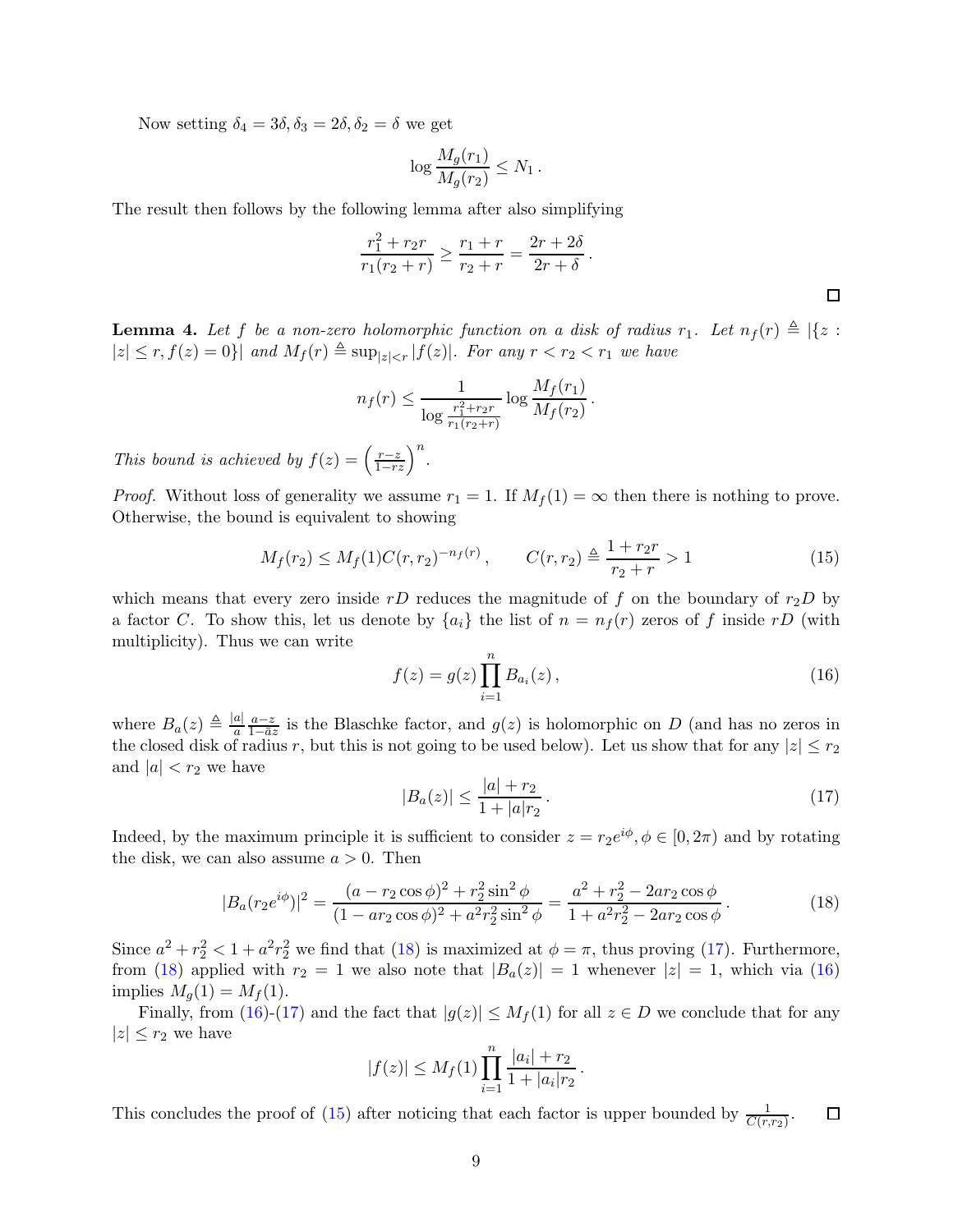Now setting  $\delta_4 = 3\delta, \delta_3 = 2\delta, \delta_2 = \delta$  we get

$$
\log \frac{M_g(r_1)}{M_g(r_2)} \le N_1.
$$

The result then follows by the following lemma after also simplifying

$$
\frac{r_1^2 + r_2r}{r_1(r_2 + r)} \ge \frac{r_1 + r}{r_2 + r} = \frac{2r + 2\delta}{2r + \delta}.
$$

<span id="page-8-4"></span>**Lemma 4.** Let f be a non-zero holomorphic function on a disk of radius  $r_1$ . Let  $n_f(r) \triangleq |\{z : f\}|\$  $|z| \leq r, f(z) = 0$ } and  $M_f(r) \triangleq \sup_{|z| \leq r} |f(z)|$ *. For any*  $r < r_2 < r_1$  we have

$$
n_f(r) \le \frac{1}{\log \frac{r_1^2 + r_2r}{r_1(r_2+r)}} \log \frac{M_f(r_1)}{M_f(r_2)}.
$$

*This bound is achieved by*  $f(z) = \left(\frac{r-z}{1-rz}\right)^n$ .

*Proof.* Without loss of generality we assume  $r_1 = 1$ . If  $M_f(1) = \infty$  then there is nothing to prove. Otherwise, the bound is equivalent to showing

<span id="page-8-3"></span>
$$
M_f(r_2) \le M_f(1)C(r,r_2)^{-n_f(r)}, \qquad C(r,r_2) \triangleq \frac{1+r_2r}{r_2+r} > 1 \tag{15}
$$

which means that every zero inside rD reduces the magnitude of f on the boundary of  $r_2D$  by a factor C. To show this, let us denote by  $\{a_i\}$  the list of  $n = n_f(r)$  zeros of f inside rD (with multiplicity). Thus we can write

<span id="page-8-2"></span>
$$
f(z) = g(z) \prod_{i=1}^{n} B_{a_i}(z) ,
$$
 (16)

where  $B_a(z) \triangleq \frac{|a|}{a} \frac{a-z}{1-\bar{a}z}$  $\frac{a-z}{1-\overline{a}z}$  is the Blaschke factor, and  $g(z)$  is holomorphic on D (and has no zeros in the closed disk of radius r, but this is not going to be used below). Let us show that for any  $|z| \le r_2$ and  $|a| < r_2$  we have

<span id="page-8-1"></span>
$$
|B_a(z)| \le \frac{|a| + r_2}{1 + |a|r_2} \,. \tag{17}
$$

Indeed, by the maximum principle it is sufficient to consider  $z = r_2 e^{i\phi}, \phi \in [0, 2\pi)$  and by rotating the disk, we can also assume  $a > 0$ . Then

<span id="page-8-0"></span>
$$
|B_a(r_2 e^{i\phi})|^2 = \frac{(a - r_2 \cos \phi)^2 + r_2^2 \sin^2 \phi}{(1 - ar_2 \cos \phi)^2 + a^2 r_2^2 \sin^2 \phi} = \frac{a^2 + r_2^2 - 2ar_2 \cos \phi}{1 + a^2 r_2^2 - 2ar_2 \cos \phi}.
$$
 (18)

Since  $a^2 + r_2^2 < 1 + a^2r_2^2$  we find that [\(18\)](#page-8-0) is maximized at  $\phi = \pi$ , thus proving [\(17\)](#page-8-1). Furthermore, from [\(18\)](#page-8-0) applied with  $r_2 = 1$  we also note that  $|B_a(z)| = 1$  whenever  $|z| = 1$ , which via [\(16\)](#page-8-2) implies  $M_q(1) = M_f(1)$ .

Finally, from [\(16\)](#page-8-2)-[\(17\)](#page-8-1) and the fact that  $|g(z)| \leq M_f(1)$  for all  $z \in D$  we conclude that for any  $|z| \leq r_2$  we have

$$
|f(z)| \le M_f(1) \prod_{i=1}^n \frac{|a_i| + r_2}{1 + |a_i|r_2}.
$$

This concludes the proof of [\(15\)](#page-8-3) after noticing that each factor is upper bounded by  $\frac{1}{C(r,r_2)}$ .  $\Box$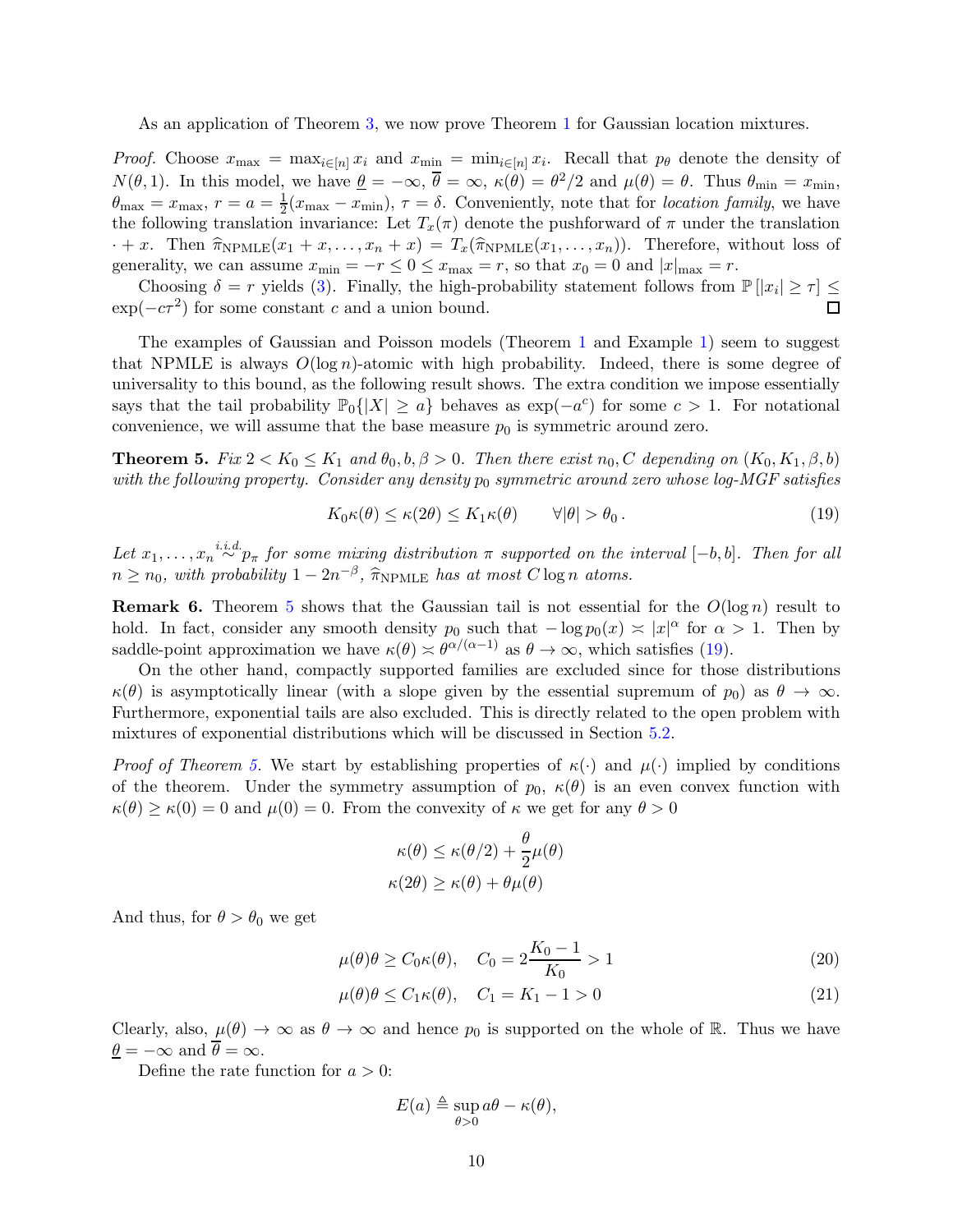As an application of Theorem [3,](#page-6-0) we now prove Theorem [1](#page-2-0) for Gaussian location mixtures.

*Proof.* Choose  $x_{\text{max}} = \max_{i \in [n]} x_i$  and  $x_{\text{min}} = \min_{i \in [n]} x_i$ . Recall that  $p_\theta$  denote the density of  $N(\theta, 1)$ . In this model, we have  $\underline{\theta} = -\infty$ ,  $\overline{\theta} = \infty$ ,  $\kappa(\theta) = \theta^2/2$  and  $\mu(\theta) = \theta$ . Thus  $\theta_{\min} = x_{\min}$ ,  $\theta_{\text{max}}=x_{\text{max}}, r=a=\frac{1}{2}$  $\frac{1}{2}(x_{\text{max}} - x_{\text{min}}), \tau = \delta$ . Conveniently, note that for *location family*, we have the following translation invariance: Let  $T_x(\pi)$  denote the pushforward of  $\pi$  under the translation  $\cdot + x$ . Then  $\hat{\pi}_{NPMLE}(x_1 + x, \ldots, x_n + x) = T_x(\hat{\pi}_{NPMLE}(x_1, \ldots, x_n))$ . Therefore, without loss of generality, we can assume  $x_{\min} = -r \leq 0 \leq x_{\max} = r$ , so that  $x_0 = 0$  and  $|x|_{\max} = r$ .

Choosing  $\delta = r$  yields [\(3\)](#page-2-1). Finally, the high-probability statement follows from  $\mathbb{P}[|x_i| \geq \tau] \leq$  $\exp(-c\tau^2)$  for some constant c and a union bound.

The examples of Gaussian and Poisson models (Theorem [1](#page-2-0) and Example [1\)](#page-5-6) seem to suggest that NPMLE is always  $O(\log n)$ -atomic with high probability. Indeed, there is some degree of universality to this bound, as the following result shows. The extra condition we impose essentially says that the tail probability  $\mathbb{P}_0\{|X|\geq a\}$  behaves as  $\exp(-a^c)$  for some  $c>1$ . For notational convenience, we will assume that the base measure  $p_0$  is symmetric around zero.

<span id="page-9-0"></span>**Theorem 5.** *Fix*  $2 < K_0 \leq K_1$  *and*  $\theta_0, b, \beta > 0$ *. Then there exist*  $n_0, C$  *depending on*  $(K_0, K_1, \beta, b)$ *with the following property. Consider any density*  $p_0$  *symmetric around zero whose log-MGF satisfies* 

<span id="page-9-1"></span>
$$
K_0 \kappa(\theta) \le \kappa(2\theta) \le K_1 \kappa(\theta) \qquad \forall |\theta| > \theta_0.
$$
\n<sup>(19)</sup>

Let  $x_1, \ldots, x_n \stackrel{i.i.d.}{\sim} p_{\pi}$  for some mixing distribution  $\pi$  supported on the interval  $[-b, b]$ . Then for all  $n \geq n_0$ , with probability  $1 - 2n^{-\beta}$ ,  $\widehat{\pi}_{\text{NPMLE}}$  *has at most*  $C \log n$  *atoms.* 

**Remark 6.** Theorem [5](#page-9-0) shows that the Gaussian tail is not essential for the  $O(\log n)$  result to hold. In fact, consider any smooth density  $p_0$  such that  $-\log p_0(x) \approx |x|^{\alpha}$  for  $\alpha > 1$ . Then by saddle-point approximation we have  $\kappa(\theta) \approx \theta^{\alpha/(\alpha-1)}$  as  $\theta \to \infty$ , which satisfies [\(19\)](#page-9-1).

On the other hand, compactly supported families are excluded since for those distributions  $\kappa(\theta)$  is asymptotically linear (with a slope given by the essential supremum of  $p_0$ ) as  $\theta \to \infty$ . Furthermore, exponential tails are also excluded. This is directly related to the open problem with mixtures of exponential distributions which will be discussed in Section [5.2.](#page-14-0)

*Proof of Theorem [5.](#page-9-0)* We start by establishing properties of  $\kappa(\cdot)$  and  $\mu(\cdot)$  implied by conditions of the theorem. Under the symmetry assumption of  $p_0$ ,  $\kappa(\theta)$  is an even convex function with  $\kappa(\theta) \geq \kappa(0) = 0$  and  $\mu(0) = 0$ . From the convexity of  $\kappa$  we get for any  $\theta > 0$ 

<span id="page-9-2"></span>
$$
\kappa(\theta) \le \kappa(\theta/2) + \frac{\theta}{2}\mu(\theta)
$$

$$
\kappa(2\theta) \ge \kappa(\theta) + \theta\mu(\theta)
$$

And thus, for  $\theta > \theta_0$  we get

$$
\mu(\theta)\theta \ge C_0 \kappa(\theta), \quad C_0 = 2\frac{K_0 - 1}{K_0} > 1
$$
\n(20)

$$
\mu(\theta)\theta \le C_1 \kappa(\theta), \quad C_1 = K_1 - 1 > 0 \tag{21}
$$

Clearly, also,  $\mu(\theta) \to \infty$  as  $\theta \to \infty$  and hence  $p_0$  is supported on the whole of R. Thus we have  $\underline{\theta} = -\infty$  and  $\theta = \infty$ .

Define the rate function for  $a > 0$ :

<span id="page-9-3"></span>
$$
E(a) \triangleq \sup_{\theta > 0} a\theta - \kappa(\theta),
$$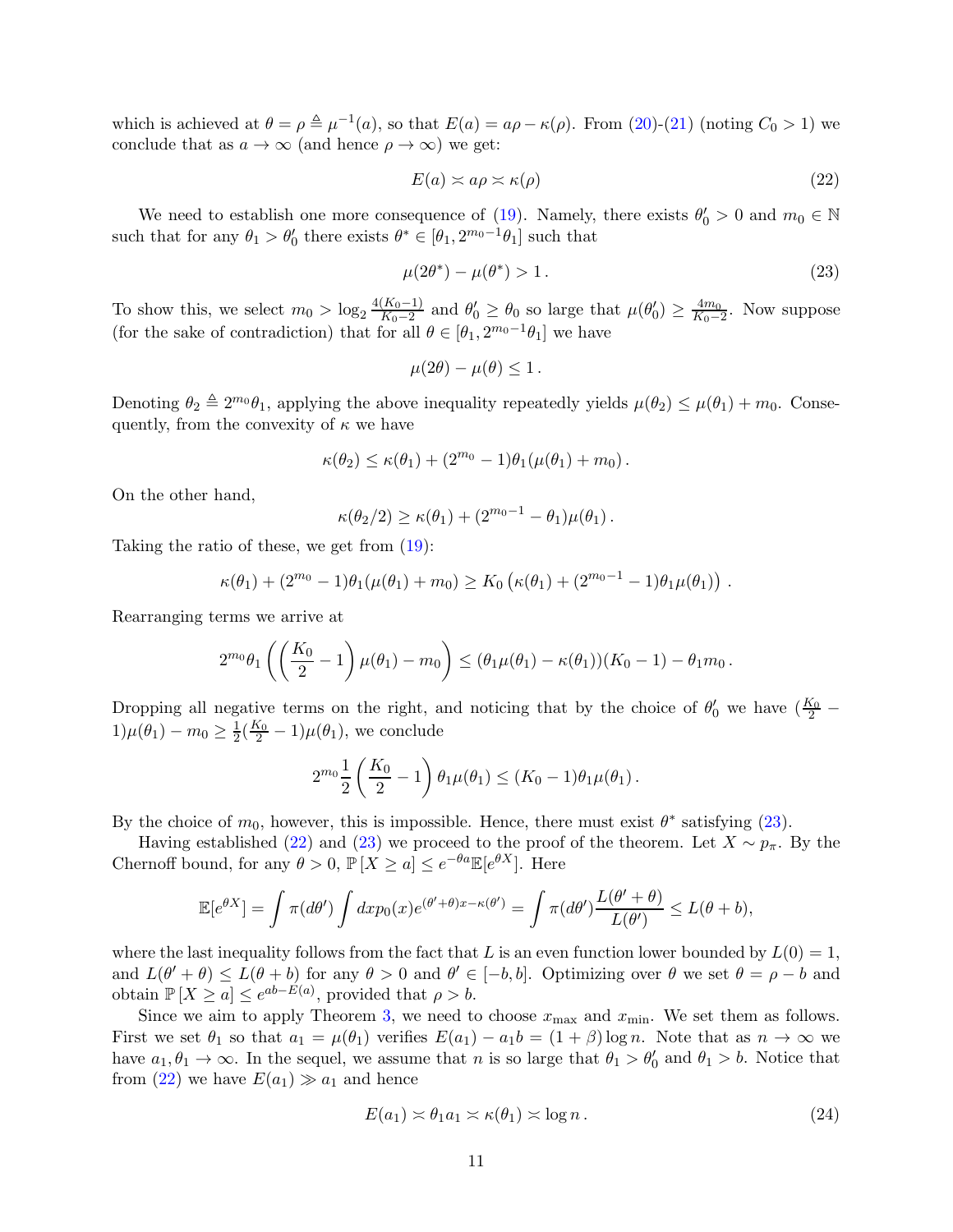which is achieved at  $\theta = \rho \triangleq \mu^{-1}(a)$ , so that  $E(a) = a\rho - \kappa(\rho)$ . From [\(20\)](#page-9-2)-[\(21\)](#page-9-3) (noting  $C_0 > 1$ ) we conclude that as  $a \to \infty$  (and hence  $\rho \to \infty$ ) we get:

<span id="page-10-1"></span>
$$
E(a) \asymp a\rho \asymp \kappa(\rho) \tag{22}
$$

We need to establish one more consequence of [\(19\)](#page-9-1). Namely, there exists  $\theta'_0 > 0$  and  $m_0 \in \mathbb{N}$ such that for any  $\theta_1 > \theta'_0$  there exists  $\theta^* \in [\theta_1, 2^{m_0-1}\theta_1]$  such that

<span id="page-10-0"></span>
$$
\mu(2\theta^*) - \mu(\theta^*) > 1.
$$
\n(23)

To show this, we select  $m_0 > \log_2 \frac{4(K_0-1)}{K_0-2}$  $\frac{(K_0-1)}{K_0-2}$  and  $\theta'_0 \ge \theta_0$  so large that  $\mu(\theta'_0) \ge \frac{4m_0}{K_0-2}$  $\frac{4m_0}{K_0-2}$ . Now suppose (for the sake of contradiction) that for all  $\theta \in [\theta_1, 2^{m_0-1}\theta_1]$  we have

$$
\mu(2\theta) - \mu(\theta) \leq 1.
$$

Denoting  $\theta_2 \triangleq 2^{m_0}\theta_1$ , applying the above inequality repeatedly yields  $\mu(\theta_2) \leq \mu(\theta_1) + m_0$ . Consequently, from the convexity of  $\kappa$  we have

$$
\kappa(\theta_2) \leq \kappa(\theta_1) + (2^{m_0} - 1)\theta_1(\mu(\theta_1) + m_0).
$$

On the other hand,

$$
\kappa(\theta_2/2) \ge \kappa(\theta_1) + (2^{m_0-1} - \theta_1)\mu(\theta_1).
$$

Taking the ratio of these, we get from [\(19\)](#page-9-1):

$$
\kappa(\theta_1) + (2^{m_0} - 1)\theta_1(\mu(\theta_1) + m_0) \geq K_0 \left( \kappa(\theta_1) + (2^{m_0-1} - 1)\theta_1 \mu(\theta_1) \right) .
$$

Rearranging terms we arrive at

$$
2^{m_0} \theta_1 \left( \left( \frac{K_0}{2} - 1 \right) \mu(\theta_1) - m_0 \right) \leq (\theta_1 \mu(\theta_1) - \kappa(\theta_1)) (K_0 - 1) - \theta_1 m_0.
$$

Dropping all negative terms on the right, and noticing that by the choice of  $\theta'_0$  we have  $(\frac{K_0}{2} 1)\mu(\theta_1) - m_0 \ge \frac{1}{2}(\frac{K_0}{2} - 1)\mu(\theta_1)$ , we conclude

$$
2^{m_0} \frac{1}{2} \left( \frac{K_0}{2} - 1 \right) \theta_1 \mu(\theta_1) \le (K_0 - 1) \theta_1 \mu(\theta_1).
$$

By the choice of  $m_0$ , however, this is impossible. Hence, there must exist  $\theta^*$  satisfying [\(23\)](#page-10-0).

Having established [\(22\)](#page-10-1) and [\(23\)](#page-10-0) we proceed to the proof of the theorem. Let  $X \sim p_{\pi}$ . By the Chernoff bound, for any  $\theta > 0$ ,  $\mathbb{P}[X \ge a] \le e^{-\theta a} \mathbb{E}[e^{\theta X}]$ . Here

$$
\mathbb{E}[e^{\theta X}] = \int \pi(d\theta') \int dx p_0(x) e^{(\theta' + \theta)x - \kappa(\theta')} = \int \pi(d\theta') \frac{L(\theta' + \theta)}{L(\theta')} \le L(\theta + b),
$$

where the last inequality follows from the fact that L is an even function lower bounded by  $L(0) = 1$ , and  $L(\theta' + \theta) \le L(\theta + b)$  for any  $\theta > 0$  and  $\theta' \in [-b, b]$ . Optimizing over  $\theta$  we set  $\theta = \rho - b$  and obtain  $\mathbb{P}[X \ge a] \le e^{ab - E(a)}$ , provided that  $\rho > b$ .

Since we aim to apply Theorem [3,](#page-6-0) we need to choose  $x_{\text{max}}$  and  $x_{\text{min}}$ . We set them as follows. First we set  $\theta_1$  so that  $a_1 = \mu(\theta_1)$  verifies  $E(a_1) - a_1b = (1 + \beta) \log n$ . Note that as  $n \to \infty$  we have  $a_1, \theta_1 \to \infty$ . In the sequel, we assume that n is so large that  $\theta_1 > \theta'_0$  and  $\theta_1 > b$ . Notice that from [\(22\)](#page-10-1) we have  $E(a_1) \gg a_1$  and hence

$$
E(a_1) \simeq \theta_1 a_1 \simeq \kappa(\theta_1) \simeq \log n. \tag{24}
$$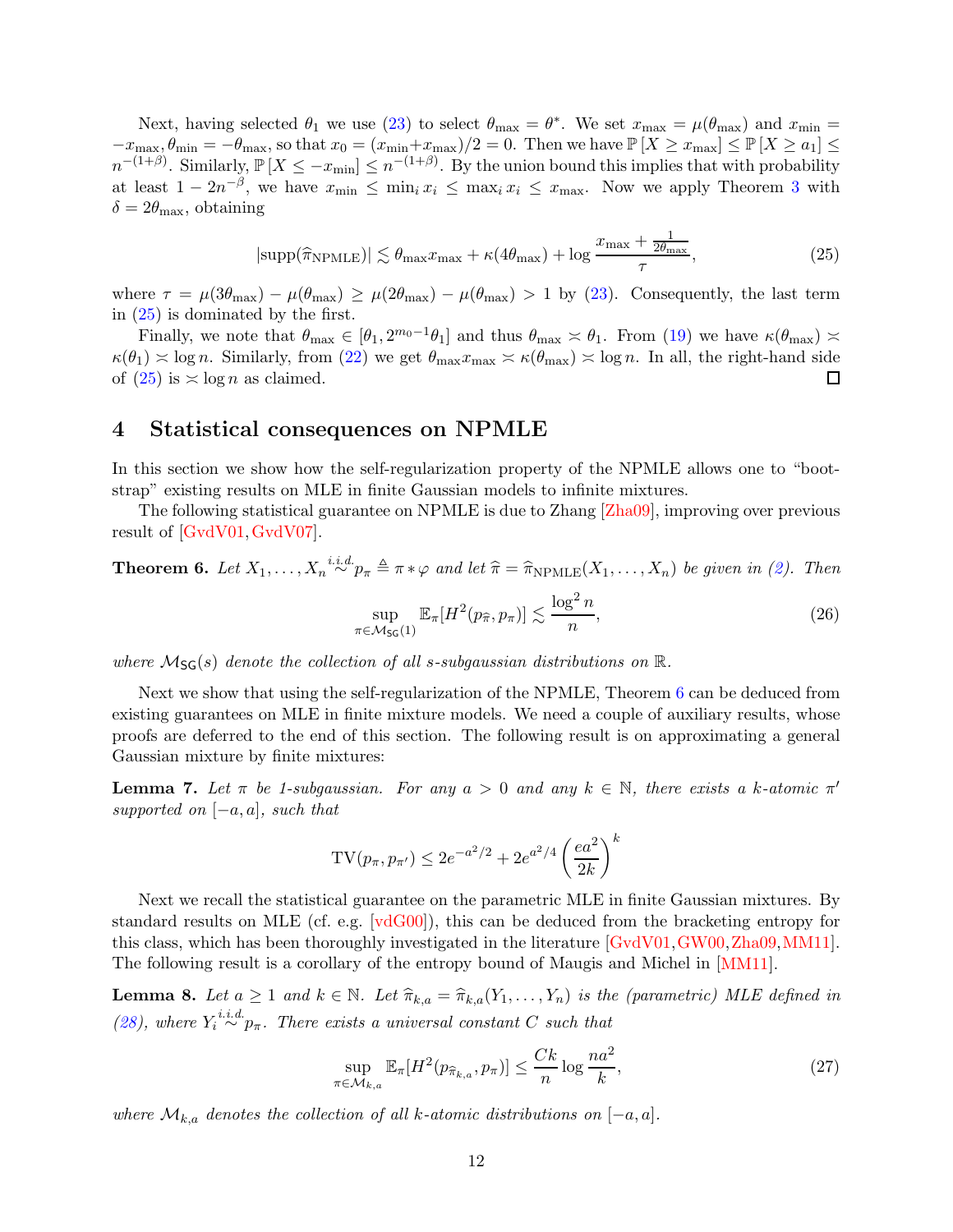Next, having selected  $\theta_1$  we use [\(23\)](#page-10-0) to select  $\theta_{\text{max}} = \theta^*$ . We set  $x_{\text{max}} = \mu(\theta_{\text{max}})$  and  $x_{\text{min}} =$  $-x_{\text{max}}, \theta_{\text{min}} = -\theta_{\text{max}}$ , so that  $x_0 = (x_{\text{min}}+x_{\text{max}})/2 = 0$ . Then we have  $\mathbb{P}[X \geq x_{\text{max}}] \leq \mathbb{P}[X \geq a_1] \leq$  $n^{-(1+\beta)}$ . Similarly,  $\mathbb{P}[X \leq -x_{\min}] \leq n^{-(1+\beta)}$ . By the union bound this implies that with probability at least  $1 - 2n^{-\beta}$ , we have  $x_{\min} \leq \min_i x_i \leq \max_i x_i \leq x_{\max}$ . Now we apply Theorem [3](#page-6-0) with  $\delta = 2\theta_{\text{max}}$ , obtaining

<span id="page-11-1"></span>
$$
|\text{supp}(\widehat{\pi}_{\text{NPMLE}})| \lesssim \theta_{\text{max}} x_{\text{max}} + \kappa (4\theta_{\text{max}}) + \log \frac{x_{\text{max}} + \frac{1}{2\theta_{\text{max}}}}{\tau},\tag{25}
$$

where  $\tau = \mu(3\theta_{\text{max}}) - \mu(\theta_{\text{max}}) \ge \mu(2\theta_{\text{max}}) - \mu(\theta_{\text{max}}) > 1$  by [\(23\)](#page-10-0). Consequently, the last term in [\(25\)](#page-11-1) is dominated by the first.

Finally, we note that  $\theta_{\text{max}} \in [\theta_1, 2^{m_0-1}\theta_1]$  and thus  $\theta_{\text{max}} \approx \theta_1$ . From [\(19\)](#page-9-1) we have  $\kappa(\theta_{\text{max}}) \approx$  $\kappa(\theta_1) \approx \log n$ . Similarly, from [\(22\)](#page-10-1) we get  $\theta_{\text{max}} x_{\text{max}} \approx \kappa(\theta_{\text{max}}) \approx \log n$ . In all, the right-hand side of  $(25)$  is  $\asymp$  log *n* as claimed. П

### <span id="page-11-0"></span>4 Statistical consequences on NPMLE

In this section we show how the self-regularization property of the NPMLE allows one to "bootstrap" existing results on MLE in finite Gaussian models to infinite mixtures.

The following statistical guarantee on NPMLE is due to Zhang [\[Zha09\]](#page-22-0), improving over previous result of [\[GvdV01,](#page-20-10)[GvdV07\]](#page-20-11).

<span id="page-11-2"></span>**Theorem 6.** Let  $X_1, \ldots, X_n \stackrel{i.i.d.}{\sim} p_\pi \triangleq \pi * \varphi$  and let  $\hat{\pi} = \hat{\pi}_{\text{NPMLE}}(X_1, \ldots, X_n)$  be given in [\(2\)](#page-1-2). Then

$$
\sup_{\pi \in \mathcal{M}_{\mathsf{SG}}(1)} \mathbb{E}_{\pi}[H^2(p_{\widehat{\pi}}, p_{\pi})] \lesssim \frac{\log^2 n}{n},\tag{26}
$$

*where*  $\mathcal{M}_{\mathsf{SG}}(s)$  *denote the collection of all s-subgaussian distributions on*  $\mathbb{R}$ .

Next we show that using the self-regularization of the NPMLE, Theorem [6](#page-11-2) can be deduced from existing guarantees on MLE in finite mixture models. We need a couple of auxiliary results, whose proofs are deferred to the end of this section. The following result is on approximating a general Gaussian mixture by finite mixtures:

<span id="page-11-3"></span>**Lemma 7.** Let  $\pi$  be 1-subgaussian. For any  $a > 0$  and any  $k \in \mathbb{N}$ , there exists a k-atomic  $\pi'$ *supported on* [−a, a]*, such that*

$$
TV(p_{\pi}, p_{\pi'}) \le 2e^{-a^2/2} + 2e^{a^2/4} \left(\frac{ea^2}{2k}\right)^k
$$

Next we recall the statistical guarantee on the parametric MLE in finite Gaussian mixtures. By standard results on MLE (cf. e.g. [\[vdG00\]](#page-22-5)), this can be deduced from the bracketing entropy for this class, which has been thoroughly investigated in the literature [\[GvdV01,](#page-20-10)[GW00,](#page-20-12)[Zha09,](#page-22-0)[MM11\]](#page-21-11). The following result is a corollary of the entropy bound of Maugis and Michel in [\[MM11\]](#page-21-11).

<span id="page-11-4"></span>**Lemma 8.** Let  $a \geq 1$  and  $k \in \mathbb{N}$ . Let  $\hat{\pi}_{k,a} = \hat{\pi}_{k,a}(Y_1, \ldots, Y_n)$  is the (parametric) MLE defined in [\(28\)](#page-12-0), where  $Y_i \stackrel{i.i.d.}{\sim} p_{\pi}$ . There exists a universal constant C such that

$$
\sup_{\pi \in \mathcal{M}_{k,a}} \mathbb{E}_{\pi}[H^2(p_{\widehat{\pi}_{k,a}}, p_{\pi})] \le \frac{Ck}{n} \log \frac{na^2}{k},\tag{27}
$$

*where*  $\mathcal{M}_{k,a}$  *denotes the collection of all* k-atomic distributions on  $[-a, a]$ *.*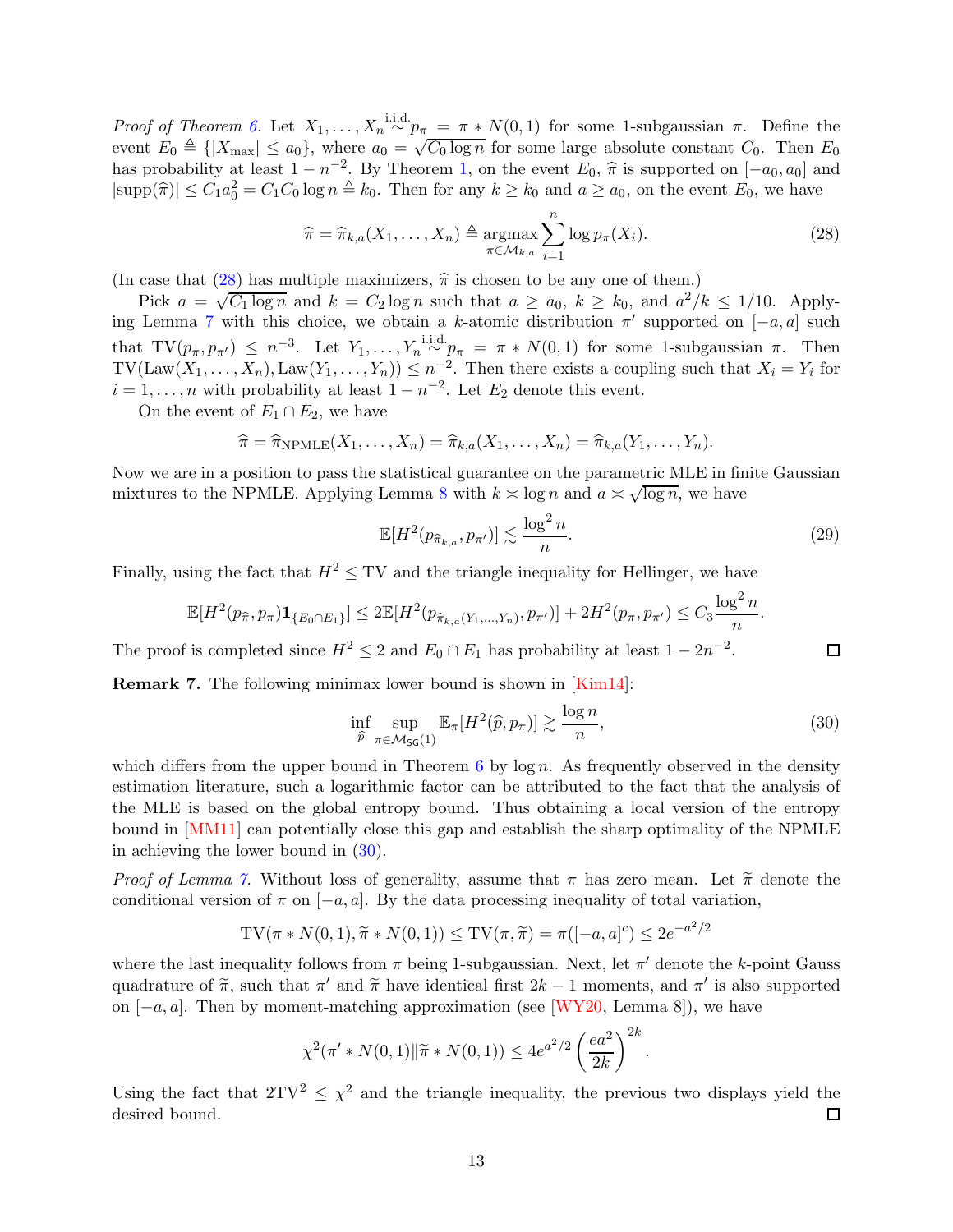*Proof of Theorem [6.](#page-11-2)* Let  $X_1, \ldots, X_n \stackrel{\text{i.i.d.}}{\sim} p_{\pi} = \pi * N(0, 1)$  for some 1-subgaussian  $\pi$ . Define the event  $E_0 \triangleq \{|X_{\text{max}}| \le a_0\}$ , where  $a_0 = \sqrt{C_0 \log n}$  for some large absolute constant  $C_0$ . Then  $E_0$ has probability at least  $1 - n^{-2}$ . By Theorem [1,](#page-2-0) on the event  $E_0$ ,  $\hat{\pi}$  is supported on  $[-a_0, a_0]$  and  $|\text{supp}(\hat{\pi})| \leq C_1 a_0^2 = C_1 C_0 \log n \triangleq k_0$ . Then for any  $k \geq k_0$  and  $a \geq a_0$ , on the event  $E_0$ , we have

<span id="page-12-0"></span>
$$
\widehat{\pi} = \widehat{\pi}_{k,a}(X_1, \dots, X_n) \triangleq \underset{\pi \in \mathcal{M}_{k,a}}{\operatorname{argmax}} \sum_{i=1}^n \log p_{\pi}(X_i). \tag{28}
$$

(In case that [\(28\)](#page-12-0) has multiple maximizers,  $\hat{\pi}$  is chosen to be any one of them.)

Pick  $a = \sqrt{C_1 \log n}$  and  $k = C_2 \log n$  such that  $a \ge a_0$ ,  $k \ge k_0$ , and  $a^2/k \le 1/10$ . Apply-ing Lemma [7](#page-11-3) with this choice, we obtain a k-atomic distribution  $\pi'$  supported on  $[-a, a]$  such that  $TV(p_{\pi}, p_{\pi'}) \leq n^{-3}$ . Let  $Y_1, \ldots, Y_n \stackrel{\text{i.i.d.}}{\sim} p_{\pi} = \pi * N(0, 1)$  for some 1-subgaussian  $\pi$ . Then  $TV(\text{Law}(X_1,\ldots,X_n), \text{Law}(Y_1,\ldots,Y_n)) \leq n^{-2}$ . Then there exists a coupling such that  $X_i = Y_i$  for  $i = 1, \ldots, n$  with probability at least  $1 - n^{-2}$ . Let  $E_2$  denote this event.

On the event of  $E_1 \cap E_2$ , we have

$$
\widehat{\pi} = \widehat{\pi}_{\text{NPMLE}}(X_1, \dots, X_n) = \widehat{\pi}_{k,a}(X_1, \dots, X_n) = \widehat{\pi}_{k,a}(Y_1, \dots, Y_n).
$$

Now we are in a position to pass the statistical guarantee on the parametric MLE in finite Gaussian mixtures to the NPMLE. Applying Lemma [8](#page-11-4) with  $k \approx \log n$  and  $a \approx \sqrt{\log n}$ , we have

$$
\mathbb{E}[H^2(p_{\widehat{\pi}_{k,a}}, p_{\pi'})] \lesssim \frac{\log^2 n}{n}.\tag{29}
$$

 $\Box$ 

Finally, using the fact that  $H^2 \leq TV$  and the triangle inequality for Hellinger, we have

$$
\mathbb{E}[H^{2}(p_{\widehat{\pi}}, p_{\pi})\mathbf{1}_{\{E_0 \cap E_1\}}] \leq 2\mathbb{E}[H^{2}(p_{\widehat{\pi}_{k,a}(Y_1,\ldots,Y_n)}, p_{\pi'})] + 2H^2(p_{\pi}, p_{\pi'}) \leq C_3 \frac{\log^2 n}{n}.
$$

The proof is completed since  $H^2 \leq 2$  and  $E_0 \cap E_1$  has probability at least  $1 - 2n^{-2}$ .

Remark 7. The following minimax lower bound is shown in [\[Kim14\]](#page-20-13):

<span id="page-12-1"></span>
$$
\inf_{\widehat{p}} \sup_{\pi \in \mathcal{M}_{\mathsf{SG}}(1)} \mathbb{E}_{\pi}[H^2(\widehat{p}, p_{\pi})] \gtrsim \frac{\log n}{n},\tag{30}
$$

which differs from the upper bound in Theorem  $6$  by  $\log n$ . As frequently observed in the density estimation literature, such a logarithmic factor can be attributed to the fact that the analysis of the MLE is based on the global entropy bound. Thus obtaining a local version of the entropy bound in [\[MM11\]](#page-21-11) can potentially close this gap and establish the sharp optimality of the NPMLE in achieving the lower bound in  $(30)$ .

*Proof of Lemma* [7.](#page-11-3) Without loss of generality, assume that  $\pi$  has zero mean. Let  $\tilde{\pi}$  denote the conditional version of  $\pi$  on  $[-a, a]$ . By the data processing inequality of total variation,

$$
TV(\pi * N(0, 1), \tilde{\pi} * N(0, 1)) \le TV(\pi, \tilde{\pi}) = \pi([-a, a]^c) \le 2e^{-a^2/2}
$$

where the last inequality follows from  $\pi$  being 1-subgaussian. Next, let  $\pi'$  denote the k-point Gauss quadrature of  $\tilde{\pi}$ , such that  $\pi'$  and  $\tilde{\pi}$  have identical first  $2k-1$  moments, and  $\pi'$  is also supported on  $[-a, a]$ . Then by moment-matching approximation (see [\[WY20,](#page-22-4) Lemma 8]), we have

$$
\chi^2(\pi' * N(0, 1) \| \widetilde{\pi} * N(0, 1)) \le 4e^{a^2/2} \left(\frac{ea^2}{2k}\right)^{2k}.
$$

Using the fact that  $2TV^2 \leq \chi^2$  and the triangle inequality, the previous two displays yield the desired bound. 口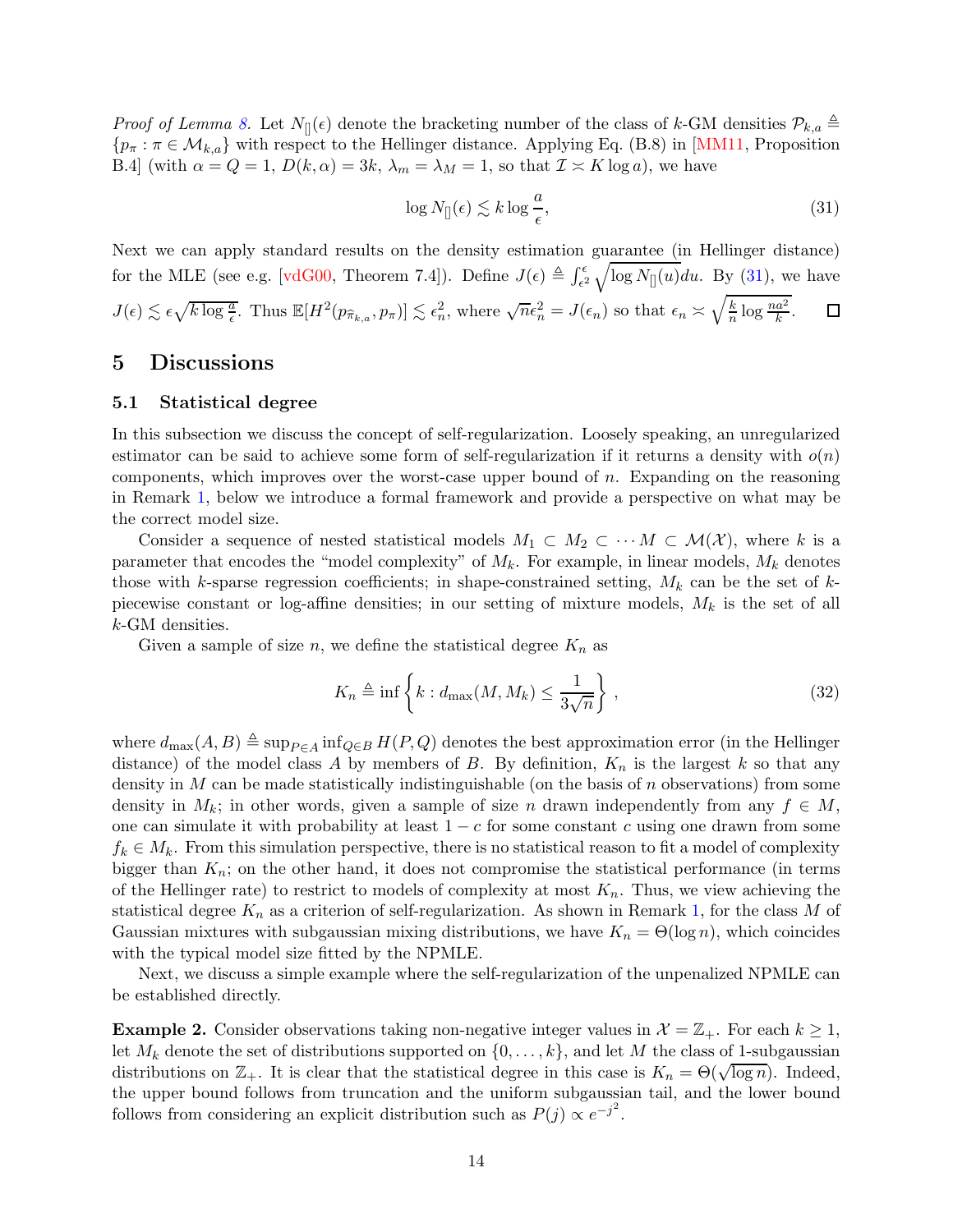*Proof of Lemma [8.](#page-11-4)* Let  $N_{\parallel}(\epsilon)$  denote the bracketing number of the class of k-GM densities  $\mathcal{P}_{k,a} \triangleq$  ${p_{\pi} : \pi \in \mathcal{M}_{k,a}}$  with respect to the Hellinger distance. Applying Eq. (B.8) in [\[MM11,](#page-21-11) Proposition B.4] (with  $\alpha = Q = 1$ ,  $D(k, \alpha) = 3k$ ,  $\lambda_m = \lambda_M = 1$ , so that  $\mathcal{I} \simeq K \log a$ ), we have

<span id="page-13-2"></span>
$$
\log N_{[]}(\epsilon) \lesssim k \log \frac{a}{\epsilon},\tag{31}
$$

Next we can apply standard results on the density estimation guarantee (in Hellinger distance) for the MLE (see e.g. [\[vdG00,](#page-22-5) Theorem 7.4]). Define  $J(\epsilon) \triangleq \int_{\epsilon^2}^{\epsilon} \sqrt{\log N_{[]}(u)} du$ . By [\(31\)](#page-13-2), we have  $J(\epsilon) \lesssim \epsilon \sqrt{k \log \frac{a}{\epsilon}}$ . Thus  $\mathbb{E}[H^2(p_{\widehat{\pi}_{k,a}}, p_{\pi})] \lesssim \epsilon_n^2$ , where  $\sqrt{n} \epsilon_n^2 = J(\epsilon_n)$  so that  $\epsilon_n \asymp \sqrt{\frac{k}{n}}$  $\frac{k}{n} \log \frac{na^2}{k}.$  $\Box$ 

### <span id="page-13-1"></span><span id="page-13-0"></span>5 Discussions

### 5.1 Statistical degree

In this subsection we discuss the concept of self-regularization. Loosely speaking, an unregularized estimator can be said to achieve some form of self-regularization if it returns a density with  $o(n)$ components, which improves over the worst-case upper bound of n. Expanding on the reasoning in Remark [1,](#page-2-2) below we introduce a formal framework and provide a perspective on what may be the correct model size.

Consider a sequence of nested statistical models  $M_1 \subset M_2 \subset \cdots \subset M(\mathcal{X})$ , where k is a parameter that encodes the "model complexity" of  $M_k$ . For example, in linear models,  $M_k$  denotes those with k-sparse regression coefficients; in shape-constrained setting,  $M_k$  can be the set of kpiecewise constant or log-affine densities; in our setting of mixture models,  $M_k$  is the set of all k-GM densities.

Given a sample of size n, we define the statistical degree  $K_n$  as

$$
K_n \triangleq \inf \left\{ k : d_{\max}(M, M_k) \le \frac{1}{3\sqrt{n}} \right\},\tag{32}
$$

where  $d_{\text{max}}(A, B) \triangleq \sup_{P \in A} \inf_{Q \in B} H(P, Q)$  denotes the best approximation error (in the Hellinger distance) of the model class A by members of B. By definition,  $K_n$  is the largest k so that any density in  $M$  can be made statistically indistinguishable (on the basis of  $n$  observations) from some density in  $M_k$ ; in other words, given a sample of size n drawn independently from any  $f \in M$ , one can simulate it with probability at least  $1 - c$  for some constant c using one drawn from some  $f_k \in M_k$ . From this simulation perspective, there is no statistical reason to fit a model of complexity bigger than  $K_n$ ; on the other hand, it does not compromise the statistical performance (in terms of the Hellinger rate) to restrict to models of complexity at most  $K_n$ . Thus, we view achieving the statistical degree  $K_n$  as a criterion of self-regularization. As shown in Remark [1,](#page-2-2) for the class M of Gaussian mixtures with subgaussian mixing distributions, we have  $K_n = \Theta(\log n)$ , which coincides with the typical model size fitted by the NPMLE.

Next, we discuss a simple example where the self-regularization of the unpenalized NPMLE can be established directly.

<span id="page-13-3"></span>**Example 2.** Consider observations taking non-negative integer values in  $\mathcal{X} = \mathbb{Z}_+$ . For each  $k \geq 1$ , let  $M_k$  denote the set of distributions supported on  $\{0, \ldots, k\}$ , and let M the class of 1-subgaussian distributions on  $\mathbb{Z}_+$ . It is clear that the statistical degree in this case is  $K_n = \Theta(\sqrt{\log n})$ . Indeed, the upper bound follows from truncation and the uniform subgaussian tail, and the lower bound follows from considering an explicit distribution such as  $P(j) \propto e^{-j^2}$ .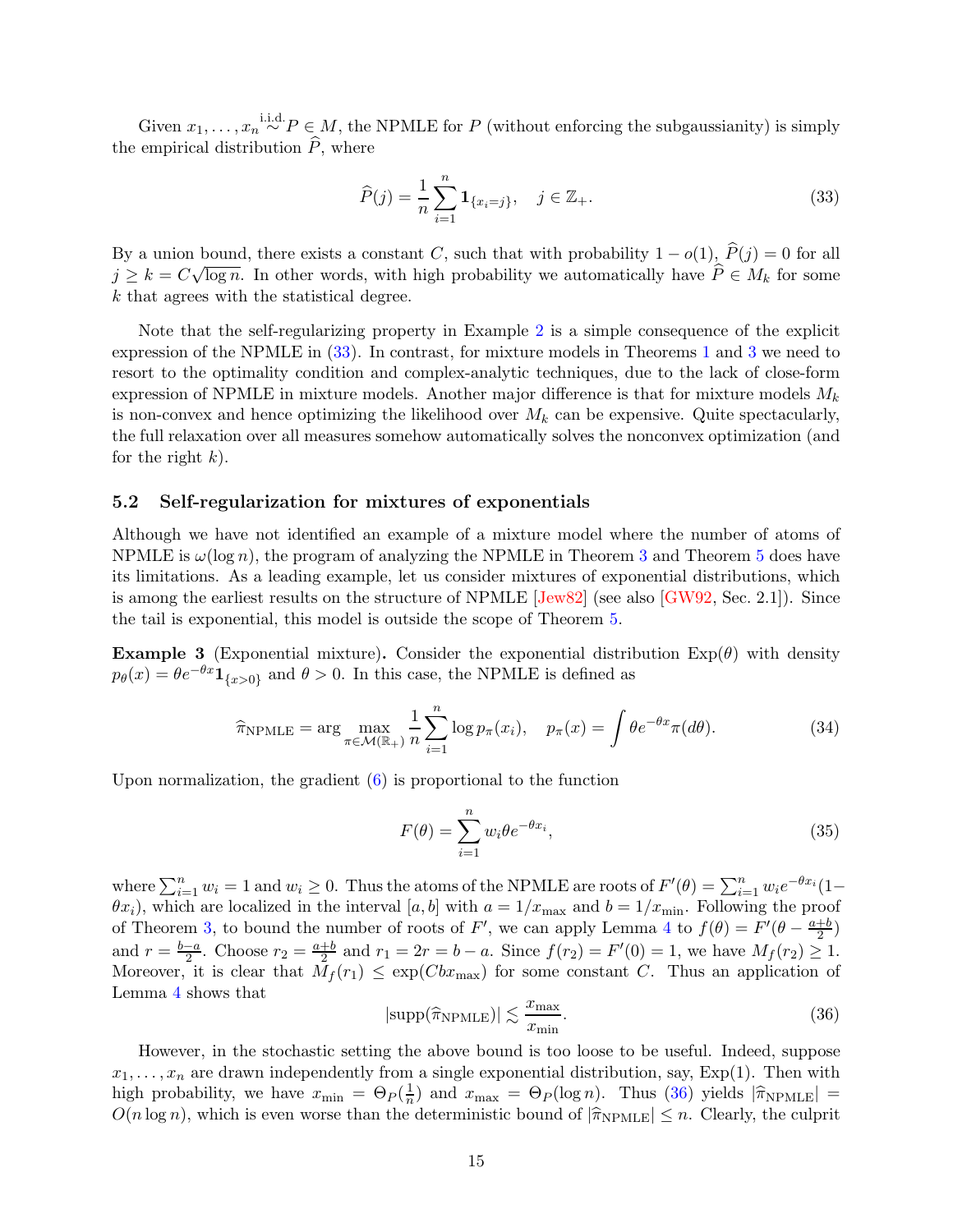Given  $x_1, \ldots, x_n \stackrel{\text{i.i.d.}}{\sim} P \in M$ , the NPMLE for P (without enforcing the subgaussianity) is simply the empirical distribution  $\widehat{P}$ , where

<span id="page-14-1"></span>
$$
\widehat{P}(j) = \frac{1}{n} \sum_{i=1}^{n} \mathbf{1}_{\{x_i = j\}}, \quad j \in \mathbb{Z}_+.
$$
\n(33)

By a union bound, there exists a constant C, such that with probability  $1 - o(1)$ ,  $\hat{P}(j) = 0$  for all  $j \geq k = C\sqrt{\log n}$ . In other words, with high probability we automatically have  $\hat{P} \in M_k$  for some k that agrees with the statistical degree.

Note that the self-regularizing property in Example [2](#page-13-3) is a simple consequence of the explicit expression of the NPMLE in [\(33\)](#page-14-1). In contrast, for mixture models in Theorems [1](#page-2-0) and [3](#page-6-0) we need to resort to the optimality condition and complex-analytic techniques, due to the lack of close-form expression of NPMLE in mixture models. Another major difference is that for mixture models  $M_k$ is non-convex and hence optimizing the likelihood over  $M_k$  can be expensive. Quite spectacularly, the full relaxation over all measures somehow automatically solves the nonconvex optimization (and for the right  $k$ ).

#### <span id="page-14-0"></span>5.2 Self-regularization for mixtures of exponentials

Although we have not identified an example of a mixture model where the number of atoms of NPMLE is  $\omega(\log n)$ , the program of analyzing the NPMLE in Theorem [3](#page-6-0) and Theorem [5](#page-9-0) does have its limitations. As a leading example, let us consider mixtures of exponential distributions, which is among the earliest results on the structure of NPMLE [\[Jew82\]](#page-20-4) (see also [\[GW92,](#page-20-0) Sec. 2.1]). Since the tail is exponential, this model is outside the scope of Theorem [5.](#page-9-0)

<span id="page-14-3"></span>**Example 3** (Exponential mixture). Consider the exponential distribution  $Exp(\theta)$  with density  $p_{\theta}(x) = \theta e^{-\theta x} \mathbf{1}_{\{x>0\}}$  and  $\theta > 0$ . In this case, the NPMLE is defined as

<span id="page-14-4"></span>
$$
\widehat{\pi}_{\text{NPMLE}} = \arg \max_{\pi \in \mathcal{M}(\mathbb{R}_+)} \frac{1}{n} \sum_{i=1}^n \log p_{\pi}(x_i), \quad p_{\pi}(x) = \int \theta e^{-\theta x} \pi(d\theta). \tag{34}
$$

Upon normalization, the gradient  $(6)$  is proportional to the function

<span id="page-14-5"></span>
$$
F(\theta) = \sum_{i=1}^{n} w_i \theta e^{-\theta x_i},
$$
\n(35)

where  $\sum_{i=1}^{n} w_i = 1$  and  $w_i \ge 0$ . Thus the atoms of the NPMLE are roots of  $F'(\theta) = \sum_{i=1}^{n} w_i e^{-\theta x_i} (1 (\theta x_i)$ , which are localized in the interval [a, b] with  $a = 1/x_{\text{max}}$  and  $b = 1/x_{\text{min}}$ . Following the proof of Theorem [3,](#page-6-0) to bound the number of roots of F', we can apply Lemma [4](#page-8-4) to  $f(\theta) = F'(\theta - \frac{a+b}{2})$  $\frac{+b}{2}$ and  $r = \frac{b-a}{2}$ . Choose  $r_2 = \frac{a+b}{2}$  and  $r_1 = 2r = b-a$ . Since  $f(r_2) = F'(0) = 1$ , we have  $M_f(r_2) \ge 1$ . Moreover, it is clear that  $M_f(r_1) \leq \exp(Cbx_{\max})$  for some constant C. Thus an application of Lemma [4](#page-8-4) shows that

<span id="page-14-2"></span>
$$
|\text{supp}(\hat{\pi}_{\text{NPMLE}})| \lesssim \frac{x_{\text{max}}}{x_{\text{min}}}.\tag{36}
$$

However, in the stochastic setting the above bound is too loose to be useful. Indeed, suppose  $x_1, \ldots, x_n$  are drawn independently from a single exponential distribution, say,  $Exp(1)$ . Then with high probability, we have  $x_{\min} = \Theta_P(\frac{1}{n})$  $\frac{1}{n}$ ) and  $x_{\text{max}} = \Theta_P(\log n)$ . Thus [\(36\)](#page-14-2) yields  $|\hat{\pi}_{\text{NPMLE}}| =$  $O(n \log n)$ , which is even worse than the deterministic bound of  $|\hat{\pi}_{\text{NPMLE}}| \leq n$ . Clearly, the culprit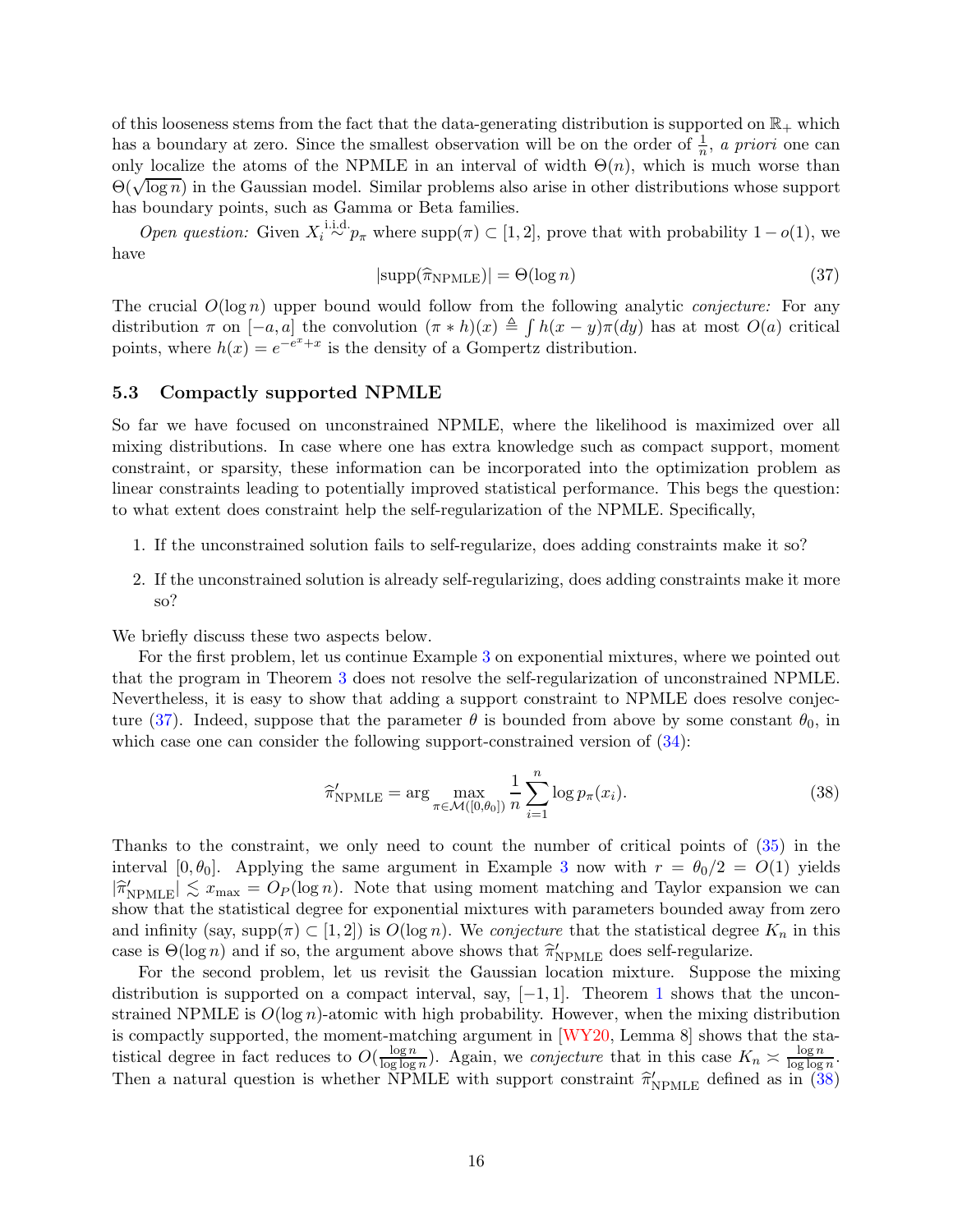of this looseness stems from the fact that the data-generating distribution is supported on  $\mathbb{R}_+$  which has a boundary at zero. Since the smallest observation will be on the order of  $\frac{1}{n}$ , *a priori* one can only localize the atoms of the NPMLE in an interval of width  $\Theta(n)$ , which is much worse than  $\widetilde{\Theta(\sqrt{\log n})}$  in the Gaussian model. Similar problems also arise in other distributions whose support has boundary points, such as Gamma or Beta families.

*Open question:* Given  $X_i \stackrel{\text{i.i.d.}}{\sim} p_\pi$  where supp $(\pi) \subset [1, 2]$ , prove that with probability  $1 - o(1)$ , we have

<span id="page-15-1"></span>
$$
|\text{supp}(\hat{\pi}_{\text{NPMLE}})| = \Theta(\log n)
$$
\n(37)

The crucial O(log n) upper bound would follow from the following analytic *conjecture:* For any distribution  $\pi$  on  $[-a, a]$  the convolution  $(\pi * h)(x) \triangleq \int h(x - y)\pi(dy)$  has at most  $O(a)$  critical points, where  $h(x) = e^{-e^x + x}$  is the density of a Gompertz distribution.

### <span id="page-15-0"></span>5.3 Compactly supported NPMLE

So far we have focused on unconstrained NPMLE, where the likelihood is maximized over all mixing distributions. In case where one has extra knowledge such as compact support, moment constraint, or sparsity, these information can be incorporated into the optimization problem as linear constraints leading to potentially improved statistical performance. This begs the question: to what extent does constraint help the self-regularization of the NPMLE. Specifically,

- 1. If the unconstrained solution fails to self-regularize, does adding constraints make it so?
- 2. If the unconstrained solution is already self-regularizing, does adding constraints make it more so?

We briefly discuss these two aspects below.

For the first problem, let us continue Example [3](#page-14-3) on exponential mixtures, where we pointed out that the program in Theorem [3](#page-6-0) does not resolve the self-regularization of unconstrained NPMLE. Nevertheless, it is easy to show that adding a support constraint to NPMLE does resolve conjec-ture [\(37\)](#page-15-1). Indeed, suppose that the parameter  $\theta$  is bounded from above by some constant  $\theta_0$ , in which case one can consider the following support-constrained version of  $(34)$ :

<span id="page-15-2"></span>
$$
\widehat{\pi}_{\text{NPMLE}}^{\prime} = \arg \max_{\pi \in \mathcal{M}([0,\theta_0])} \frac{1}{n} \sum_{i=1}^{n} \log p_{\pi}(x_i). \tag{38}
$$

Thanks to the constraint, we only need to count the number of critical points of [\(35\)](#page-14-5) in the interval [0,  $\theta_0$ ]. Applying the same argument in Example [3](#page-14-3) now with  $r = \theta_0/2 = O(1)$  yields  $|\hat{\pi}_{\text{NPMLE}}'|\lesssim x_{\text{max}} = O_P(\log n)$ . Note that using moment matching and Taylor expansion we can show that the statistical degree for exponential mixtures with parameters bounded away from zero and infinity (say, supp $(\pi) \subset [1, 2]$ ) is  $O(\log n)$ . We *conjecture* that the statistical degree  $K_n$  in this case is  $\Theta(\log n)$  and if so, the argument above shows that  $\hat{\pi}'_{\text{NPMLE}}$  does self-regularize.

For the second problem, let us revisit the Gaussian location mixture. Suppose the mixing distribution is supported on a compact interval, say,  $[-1, 1]$  $[-1, 1]$  $[-1, 1]$ . Theorem 1 shows that the unconstrained NPMLE is  $O(\log n)$ -atomic with high probability. However, when the mixing distribution is compactly supported, the moment-matching argument in [\[WY20,](#page-22-4) Lemma 8] shows that the statistical degree in fact reduces to  $O(\frac{\log n}{\log \log n})$  $\frac{\log n}{\log \log n}$ ). Again, we *conjecture* that in this case  $K_n \approx \frac{\log n}{\log \log n}$  $\log \log n$ . Then a natural question is whether NPMLE with support constraint  $\hat{\pi}'_{\text{NPMLE}}$  defined as in [\(38\)](#page-15-2)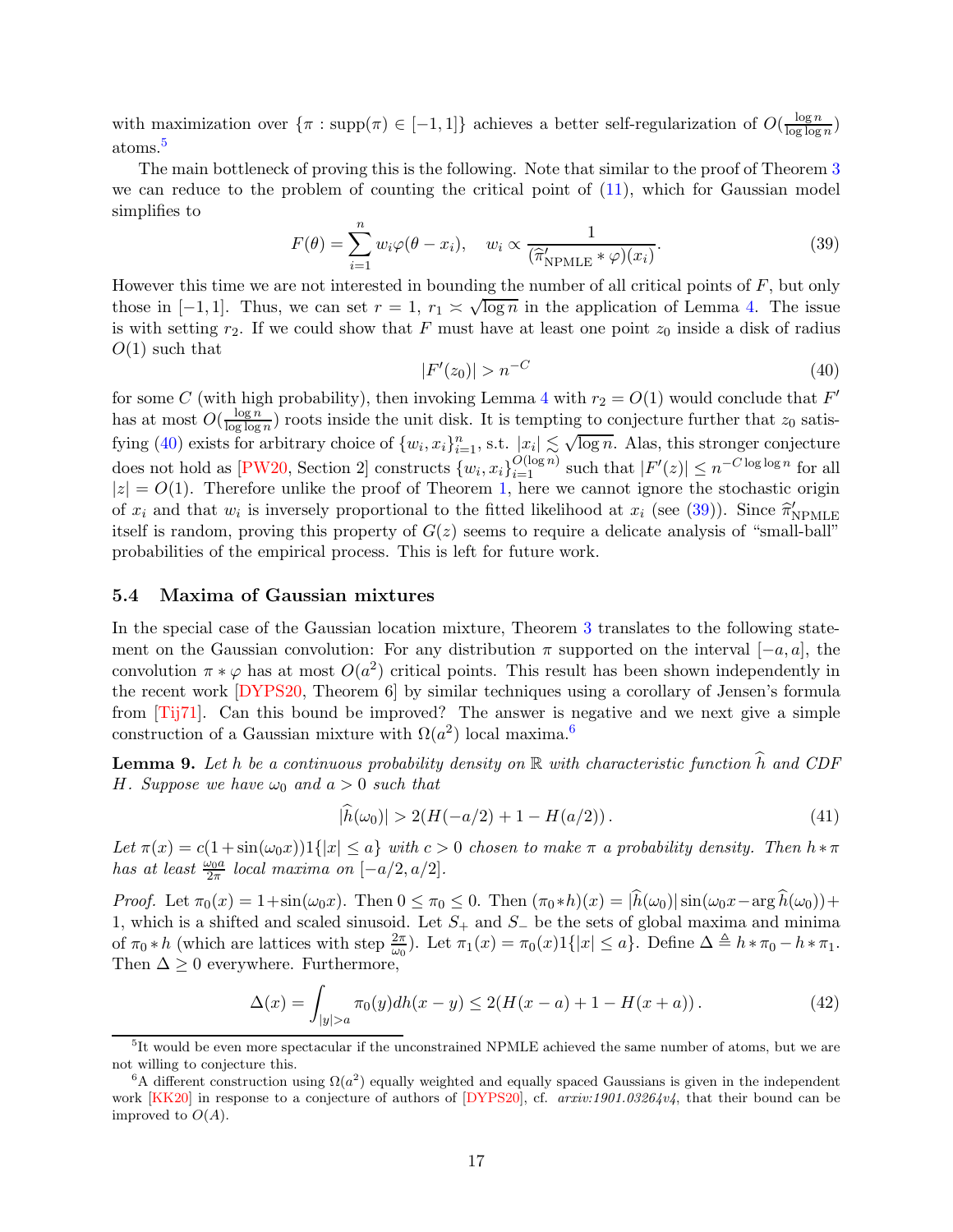with maximization over  $\{\pi : \text{supp}(\pi) \in [-1,1]\}$  achieves a better self-regularization of  $O(\frac{\log n}{\log \log n})$  $\frac{\log n}{\log \log n}$ atoms.[5](#page-16-1)

The main bottleneck of proving this is the following. Note that similar to the proof of Theorem [3](#page-6-0) we can reduce to the problem of counting the critical point of [\(11\)](#page-7-1), which for Gaussian model simplifies to

<span id="page-16-3"></span>
$$
F(\theta) = \sum_{i=1}^{n} w_i \varphi(\theta - x_i), \quad w_i \propto \frac{1}{(\hat{\pi}_{\text{NPMLE}}' * \varphi)(x_i)}.
$$
 (39)

However this time we are not interested in bounding the number of all critical points of  $F$ , but only those in [-1, 1]. Thus, we can set  $r = 1$ ,  $r_1 \ge \sqrt{\log n}$  in the application of Lemma [4.](#page-8-4) The issue is with setting  $r_2$ . If we could show that F must have at least one point  $z_0$  inside a disk of radius  $O(1)$  such that

<span id="page-16-2"></span>
$$
|F'(z_0)| > n^{-C}
$$
\n(40)

for some C (with high probability), then invoking Lemma [4](#page-8-4) with  $r_2 = O(1)$  would conclude that  $F'$ has at most  $O(\frac{\log n}{\log \log n})$  $\frac{\log n}{\log \log n}$  roots inside the unit disk. It is tempting to conjecture further that  $z_0$  satis-fying [\(40\)](#page-16-2) exists for arbitrary choice of  $\{w_i, x_i\}_{i=1}^n$ , s.t.  $|x_i| \lesssim \sqrt{\log n}$ . Alas, this stronger conjecture does not hold as [\[PW20,](#page-21-12) Section 2] constructs  $\{w_i, x_i\}_{i=1}^{O(\log n)}$  such that  $|F'(z)| \leq n^{-C \log \log n}$  for all  $|z| = O(1)$ . Therefore unlike the proof of Theorem [1,](#page-2-0) here we cannot ignore the stochastic origin of  $x_i$  and that  $w_i$  is inversely proportional to the fitted likelihood at  $x_i$  (see [\(39\)](#page-16-3)). Since  $\hat{\pi}_{\text{NPMLE}}^{'}$ itself is random, proving this property of  $G(z)$  seems to require a delicate analysis of "small-ball" probabilities of the empirical process. This is left for future work.

#### <span id="page-16-0"></span>5.4 Maxima of Gaussian mixtures

In the special case of the Gaussian location mixture, Theorem [3](#page-6-0) translates to the following statement on the Gaussian convolution: For any distribution  $\pi$  supported on the interval  $[-a, a]$ , the convolution  $\pi * \varphi$  has at most  $O(a^2)$  critical points. This result has been shown independently in the recent work [\[DYPS20,](#page-19-7) Theorem 6] by similar techniques using a corollary of Jensen's formula from [\[Tij71\]](#page-22-6). Can this bound be improved? The answer is negative and we next give a simple construction of a Gaussian mixture with  $\Omega(a^2)$  local maxima.<sup>[6](#page-16-4)</sup>

<span id="page-16-6"></span>**Lemma 9.** Let h be a continuous probability density on  $\mathbb R$  with characteristic function  $\widehat{h}$  and CDF *H. Suppose we have*  $\omega_0$  *and*  $a > 0$  *such that* 

<span id="page-16-5"></span>
$$
|\widehat{h}(\omega_0)| > 2(H(-a/2) + 1 - H(a/2)).
$$
\n(41)

*Let*  $\pi(x) = c(1 + \sin(\omega_0 x))1\{|x| \le a\}$  *with*  $c > 0$  *chosen to make*  $\pi$  *a probability density. Then*  $h * \pi$ *has at least*  $\frac{\omega_0 a}{2\pi}$  *local maxima on*  $[-a/2, a/2]$ *.* 

*Proof.* Let  $\pi_0(x) = 1 + \sin(\omega_0 x)$ . Then  $0 \le \pi_0 \le 0$ . Then  $(\pi_0 * h)(x) = |\hat{h}(\omega_0)| \sin(\omega_0 x - \arg \hat{h}(\omega_0)) +$ 1, which is a shifted and scaled sinusoid. Let  $S_+$  and  $S_-\$  be the sets of global maxima and minima of  $\pi_0 * h$  (which are lattices with step  $\frac{2\pi}{\omega_0}$ ). Let  $\pi_1(x) = \pi_0(x) 1\{|x| \le a\}$ . Define  $\Delta \triangleq h * \pi_0 - h * \pi_1$ . Then  $\Delta \geq 0$  everywhere. Furthermore,

$$
\Delta(x) = \int_{|y|>a} \pi_0(y) dh(x-y) \le 2(H(x-a) + 1 - H(x+a)). \tag{42}
$$

<span id="page-16-1"></span><sup>&</sup>lt;sup>5</sup>It would be even more spectacular if the unconstrained NPMLE achieved the same number of atoms, but we are not willing to conjecture this.

<span id="page-16-4"></span><sup>&</sup>lt;sup>6</sup>A different construction using  $\Omega(a^2)$  equally weighted and equally spaced Gaussians is given in the independent work [\[KK20\]](#page-21-13) in response to a conjecture of authors of [\[DYPS20\]](#page-19-7), cf. *arxiv:1901.03264v4*, that their bound can be improved to  $O(A)$ .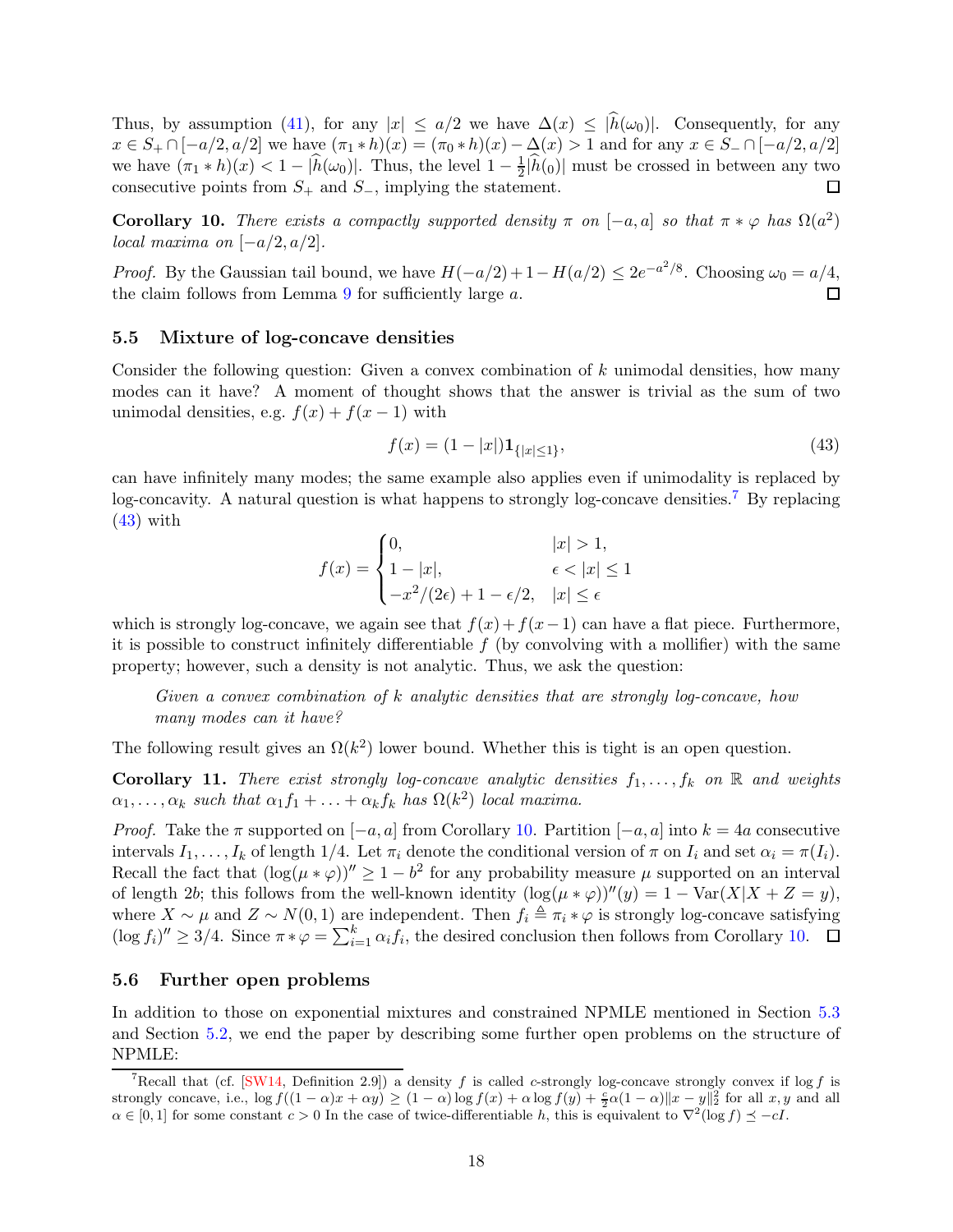Thus, by assumption [\(41\)](#page-16-5), for any  $|x| \leq a/2$  we have  $\Delta(x) \leq |\hat{h}(\omega_0)|$ . Consequently, for any  $x \in S_+ \cap [-a/2, a/2]$  we have  $(\pi_1 * h)(x) = (\pi_0 * h)(x) - \Delta(x) > 1$  and for any  $x \in S_- \cap [-a/2, a/2]$ we have  $(\pi_1 * h)(x) < 1 - |\widehat{h}(\omega_0)|$ . Thus, the level  $1 - \frac{1}{2}$  $\frac{1}{2}$ | $h(0)$ | must be crossed in between any two consecutive points from  $S_+$  and  $S_-$ , implying the statement. П

<span id="page-17-4"></span>Corollary 10. *There exists a compactly supported density*  $\pi$  *on* [-a, a] *so that*  $\pi * \varphi$  *has*  $\Omega(a^2)$ *local maxima on*  $[-a/2, a/2]$ *.* 

*Proof.* By the Gaussian tail bound, we have  $H(-a/2) + 1 - H(a/2) \leq 2e^{-a^2/8}$ . Choosing  $\omega_0 = a/4$ , the claim follows from Lemma [9](#page-16-6) for sufficiently large a. П

#### <span id="page-17-0"></span>5.5 Mixture of log-concave densities

Consider the following question: Given a convex combination of  $k$  unimodal densities, how many modes can it have? A moment of thought shows that the answer is trivial as the sum of two unimodal densities, e.g.  $f(x) + f(x-1)$  with

<span id="page-17-3"></span>
$$
f(x) = (1 - |x|) \mathbf{1}_{\{|x| \le 1\}},\tag{43}
$$

can have infinitely many modes; the same example also applies even if unimodality is replaced by log-concavity. A natural question is what happens to strongly log-concave densities.[7](#page-17-2) By replacing  $(43)$  with

$$
f(x) = \begin{cases} 0, & |x| > 1, \\ 1 - |x|, & \epsilon < |x| \le 1 \\ -x^2/(2\epsilon) + 1 - \epsilon/2, & |x| \le \epsilon \end{cases}
$$

which is strongly log-concave, we again see that  $f(x)+f(x-1)$  can have a flat piece. Furthermore, it is possible to construct infinitely differentiable  $f$  (by convolving with a mollifier) with the same property; however, such a density is not analytic. Thus, we ask the question:

*Given a convex combination of* k *analytic densities that are strongly log-concave, how many modes can it have?*

The following result gives an  $\Omega(k^2)$  lower bound. Whether this is tight is an open question.

**Corollary 11.** *There exist strongly log-concave analytic densities*  $f_1, \ldots, f_k$  *on*  $\mathbb{R}$  *and weights*  $\alpha_1, \ldots, \alpha_k$  such that  $\alpha_1 f_1 + \ldots + \alpha_k f_k$  has  $\Omega(k^2)$  *local maxima.* 

*Proof.* Take the  $\pi$  supported on  $[-a, a]$  from Corollary [10.](#page-17-4) Partition  $[-a, a]$  into  $k = 4a$  consecutive intervals  $I_1, \ldots, I_k$  of length 1/4. Let  $\pi_i$  denote the conditional version of  $\pi$  on  $I_i$  and set  $\alpha_i = \pi(I_i)$ . Recall the fact that  $(\log(\mu * \varphi))^{\prime\prime} \geq 1 - b^2$  for any probability measure  $\mu$  supported on an interval of length 2b; this follows from the well-known identity  $(\log(\mu * \varphi))''(y) = 1 - \text{Var}(X|X + Z = y)$ , where  $X \sim \mu$  and  $Z \sim N(0, 1)$  are independent. Then  $f_i \triangleq \pi_i * \varphi$  is strongly log-concave satisfying  $(\log f_i)'' \geq 3/4$ . Since  $\pi * \varphi = \sum_{i=1}^k \alpha_i f_i$ , the desired conclusion then follows from Corollary [10.](#page-17-4)

#### <span id="page-17-1"></span>5.6 Further open problems

In addition to those on exponential mixtures and constrained NPMLE mentioned in Section [5.3](#page-15-0) and Section [5.2,](#page-14-0) we end the paper by describing some further open problems on the structure of NPMLE:

<span id="page-17-2"></span><sup>&</sup>lt;sup>7</sup>Recall that (cf.  $[SW14,$  Definition 2.9) a density f is called c-strongly log-concave strongly convex if log f is strongly concave, i.e.,  $\log f((1 - \alpha)x + \alpha y) \ge (1 - \alpha) \log f(x) + \alpha \log f(y) + \frac{c}{2}\alpha(1 - \alpha) ||x - y||_2^2$  for all  $x, y$  and all  $\alpha \in [0,1]$  for some constant  $c > 0$  In the case of twice-differentiable h, this is equivalent to  $\nabla^2(\log f) \preceq -cI$ .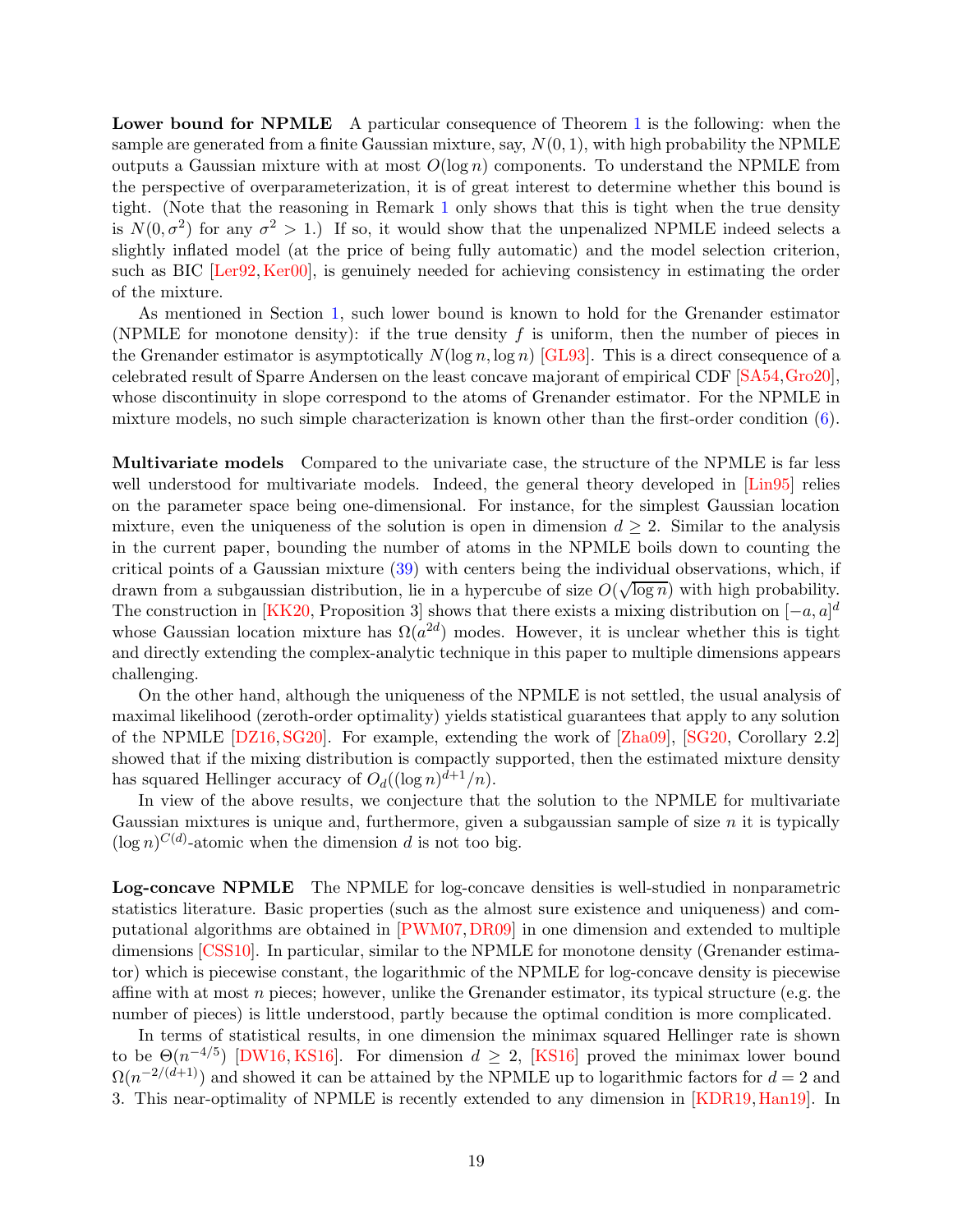Lower bound for NPMLE A particular consequence of Theorem [1](#page-2-0) is the following: when the sample are generated from a finite Gaussian mixture, say,  $N(0, 1)$ , with high probability the NPMLE outputs a Gaussian mixture with at most  $O(\log n)$  components. To understand the NPMLE from the perspective of overparameterization, it is of great interest to determine whether this bound is tight. (Note that the reasoning in Remark [1](#page-2-2) only shows that this is tight when the true density is  $N(0, \sigma^2)$  for any  $\sigma^2 > 1$ .) If so, it would show that the unpenalized NPMLE indeed selects a slightly inflated model (at the price of being fully automatic) and the model selection criterion, such as BIC [\[Ler92,](#page-21-10) [Ker00\]](#page-20-7), is genuinely needed for achieving consistency in estimating the order of the mixture.

As mentioned in Section [1,](#page-1-0) such lower bound is known to hold for the Grenander estimator (NPMLE for monotone density): if the true density f is uniform, then the number of pieces in the Grenander estimator is asymptotically  $N(\log n, \log n)$  [\[GL93\]](#page-20-9). This is a direct consequence of a celebrated result of Sparre Andersen on the least concave majorant of empirical CDF [\[SA54,](#page-21-14)[Gro20\]](#page-20-14), whose discontinuity in slope correspond to the atoms of Grenander estimator. For the NPMLE in mixture models, no such simple characterization is known other than the first-order condition [\(6\)](#page-5-3).

Multivariate models Compared to the univariate case, the structure of the NPMLE is far less well understood for multivariate models. Indeed, the general theory developed in  $\text{Lin}95$  relies on the parameter space being one-dimensional. For instance, for the simplest Gaussian location mixture, even the uniqueness of the solution is open in dimension  $d \geq 2$ . Similar to the analysis in the current paper, bounding the number of atoms in the NPMLE boils down to counting the critical points of a Gaussian mixture [\(39\)](#page-16-3) with centers being the individual observations, which, if drawn from a subgaussian distribution, lie in a hypercube of size  $O(\sqrt{\log n})$  with high probability. The construction in [\[KK20,](#page-21-13) Proposition 3] shows that there exists a mixing distribution on  $[-a, a]^d$ whose Gaussian location mixture has  $\Omega(a^{2d})$  modes. However, it is unclear whether this is tight and directly extending the complex-analytic technique in this paper to multiple dimensions appears challenging.

On the other hand, although the uniqueness of the NPMLE is not settled, the usual analysis of maximal likelihood (zeroth-order optimality) yields statistical guarantees that apply to any solution of the NPMLE [\[DZ16,](#page-19-8) [SG20\]](#page-21-4). For example, extending the work of [\[Zha09\]](#page-22-0), [\[SG20,](#page-21-4) Corollary 2.2] showed that if the mixing distribution is compactly supported, then the estimated mixture density has squared Hellinger accuracy of  $O_d((\log n)^{d+1}/n)$ .

In view of the above results, we conjecture that the solution to the NPMLE for multivariate Gaussian mixtures is unique and, furthermore, given a subgaussian sample of size  $n$  it is typically  $(\log n)^{C(d)}$ -atomic when the dimension d is not too big.

Log-concave NPMLE The NPMLE for log-concave densities is well-studied in nonparametric statistics literature. Basic properties (such as the almost sure existence and uniqueness) and computational algorithms are obtained in [\[PWM07,](#page-21-15)[DR09\]](#page-19-3) in one dimension and extended to multiple dimensions [\[CSS10\]](#page-19-4). In particular, similar to the NPMLE for monotone density (Grenander estimator) which is piecewise constant, the logarithmic of the NPMLE for log-concave density is piecewise affine with at most n pieces; however, unlike the Grenander estimator, its typical structure (e.g. the number of pieces) is little understood, partly because the optimal condition is more complicated.

In terms of statistical results, in one dimension the minimax squared Hellinger rate is shown to be  $\Theta(n^{-4/5})$  [\[DW16,](#page-19-5) [KS16\]](#page-21-2). For dimension  $d \geq 2$ , [\[KS16\]](#page-21-2) proved the minimax lower bound  $\Omega(n^{-2/(d+1)})$  and showed it can be attained by the NPMLE up to logarithmic factors for  $d=2$  and 3. This near-optimality of NPMLE is recently extended to any dimension in [\[KDR19,](#page-20-15)[Han19\]](#page-20-16). In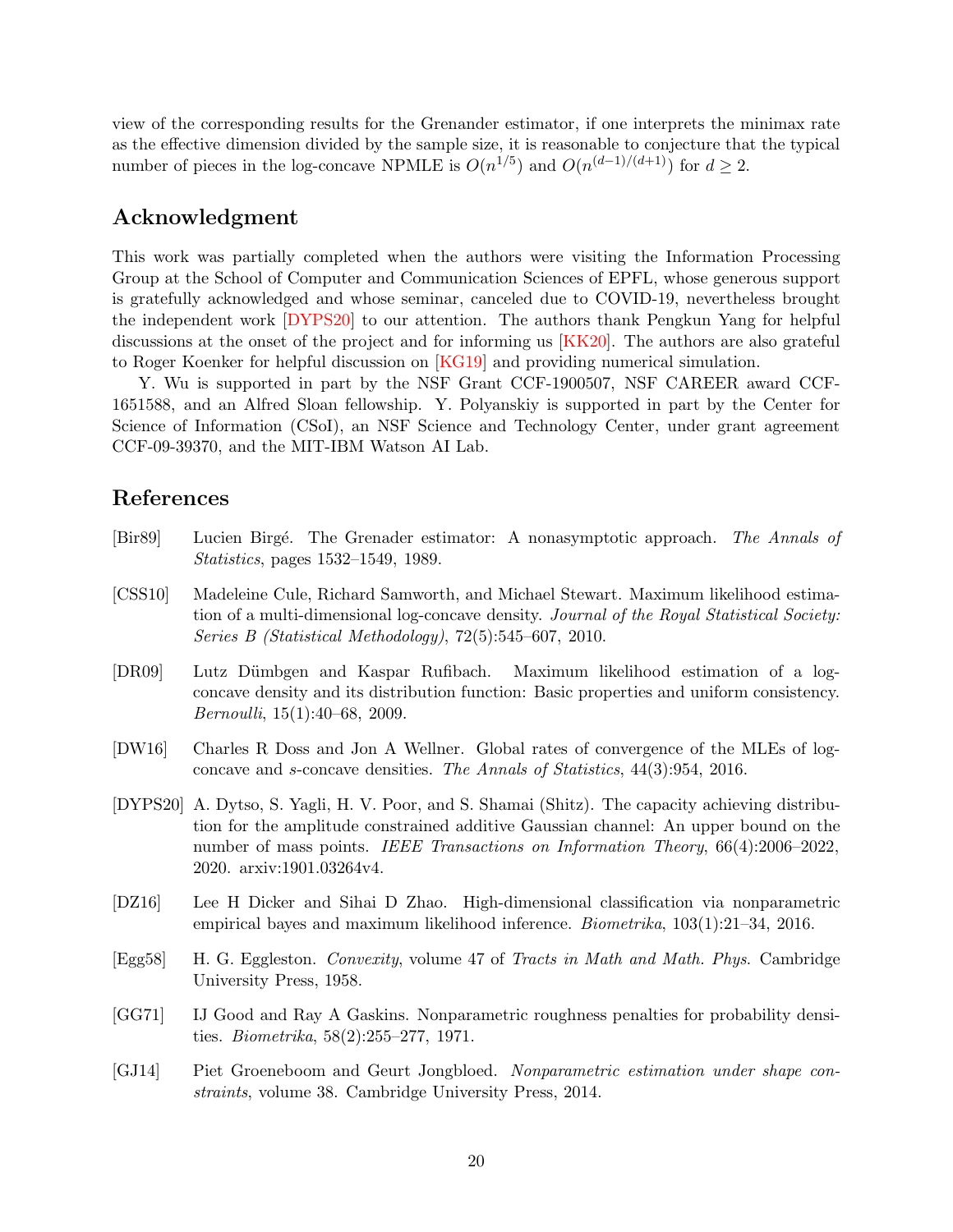view of the corresponding results for the Grenander estimator, if one interprets the minimax rate as the effective dimension divided by the sample size, it is reasonable to conjecture that the typical number of pieces in the log-concave NPMLE is  $O(n^{1/5})$  and  $O(n^{(d-1)/(d+1)})$  for  $d \geq 2$ .

# Acknowledgment

This work was partially completed when the authors were visiting the Information Processing Group at the School of Computer and Communication Sciences of EPFL, whose generous support is gratefully acknowledged and whose seminar, canceled due to COVID-19, nevertheless brought the independent work [\[DYPS20\]](#page-19-7) to our attention. The authors thank Pengkun Yang for helpful discussions at the onset of the project and for informing us [\[KK20\]](#page-21-13). The authors are also grateful to Roger Koenker for helpful discussion on [\[KG19\]](#page-20-6) and providing numerical simulation.

Y. Wu is supported in part by the NSF Grant CCF-1900507, NSF CAREER award CCF-1651588, and an Alfred Sloan fellowship. Y. Polyanskiy is supported in part by the Center for Science of Information (CSoI), an NSF Science and Technology Center, under grant agreement CCF-09-39370, and the MIT-IBM Watson AI Lab.

## References

- <span id="page-19-2"></span>[Bir89] Lucien Birg´e. The Grenader estimator: A nonasymptotic approach. *The Annals of Statistics*, pages 1532–1549, 1989.
- <span id="page-19-4"></span>[CSS10] Madeleine Cule, Richard Samworth, and Michael Stewart. Maximum likelihood estimation of a multi-dimensional log-concave density. *Journal of the Royal Statistical Society: Series B (Statistical Methodology)*, 72(5):545–607, 2010.
- <span id="page-19-3"></span>[DR09] Lutz Dümbgen and Kaspar Rufibach. Maximum likelihood estimation of a logconcave density and its distribution function: Basic properties and uniform consistency. *Bernoulli*, 15(1):40–68, 2009.
- <span id="page-19-5"></span>[DW16] Charles R Doss and Jon A Wellner. Global rates of convergence of the MLEs of logconcave and s-concave densities. *The Annals of Statistics*, 44(3):954, 2016.
- <span id="page-19-7"></span>[DYPS20] A. Dytso, S. Yagli, H. V. Poor, and S. Shamai (Shitz). The capacity achieving distribution for the amplitude constrained additive Gaussian channel: An upper bound on the number of mass points. *IEEE Transactions on Information Theory*, 66(4):2006–2022, 2020. arxiv:1901.03264v4.
- <span id="page-19-8"></span>[DZ16] Lee H Dicker and Sihai D Zhao. High-dimensional classification via nonparametric empirical bayes and maximum likelihood inference. *Biometrika*, 103(1):21–34, 2016.
- <span id="page-19-6"></span>[Egg58] H. G. Eggleston. *Convexity*, volume 47 of *Tracts in Math and Math. Phys*. Cambridge University Press, 1958.
- <span id="page-19-1"></span>[GG71] IJ Good and Ray A Gaskins. Nonparametric roughness penalties for probability densities. *Biometrika*, 58(2):255–277, 1971.
- <span id="page-19-0"></span>[GJ14] Piet Groeneboom and Geurt Jongbloed. *Nonparametric estimation under shape constraints*, volume 38. Cambridge University Press, 2014.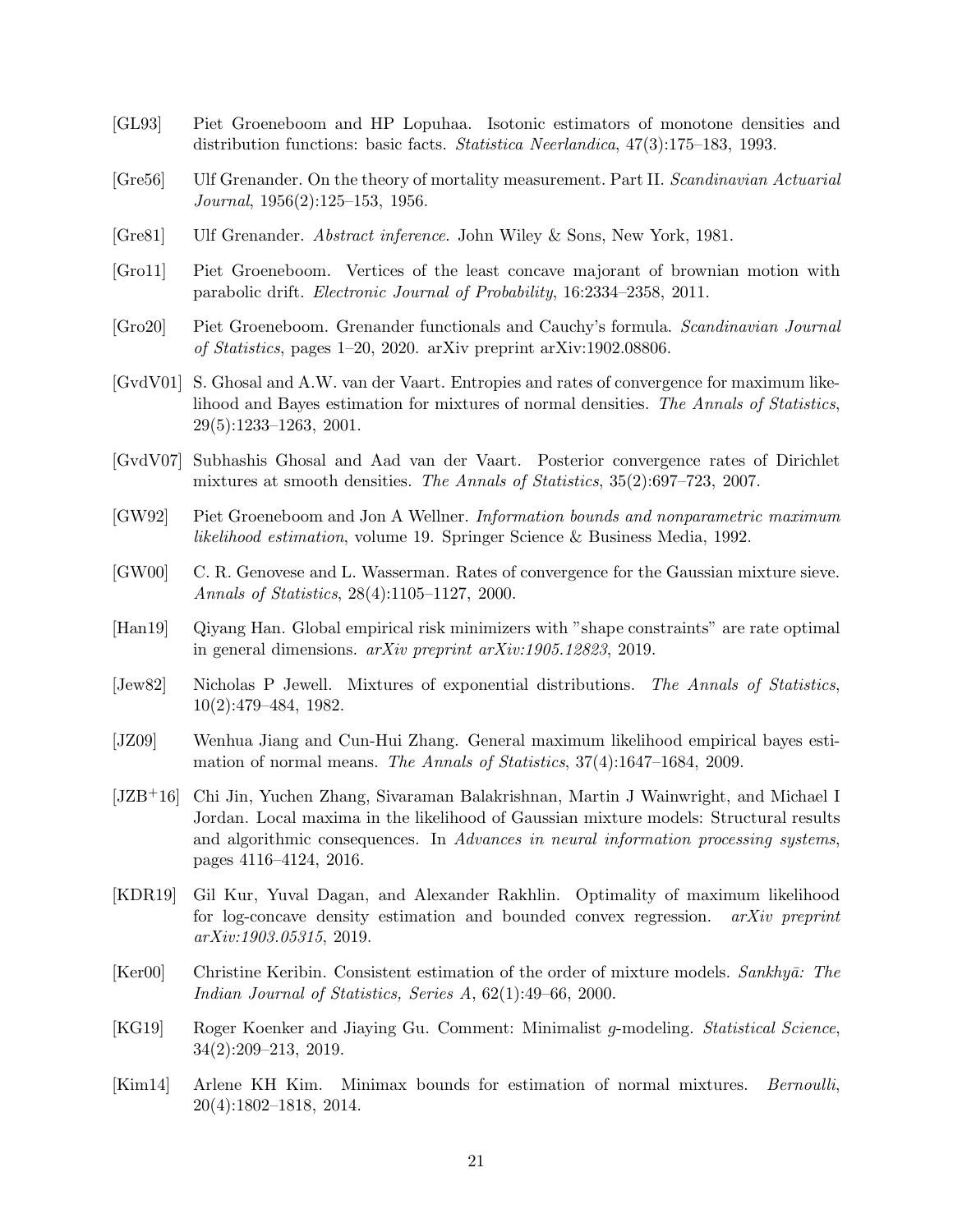- <span id="page-20-9"></span>[GL93] Piet Groeneboom and HP Lopuhaa. Isotonic estimators of monotone densities and distribution functions: basic facts. *Statistica Neerlandica*, 47(3):175–183, 1993.
- <span id="page-20-2"></span>[Gre56] Ulf Grenander. On the theory of mortality measurement. Part II. *Scandinavian Actuarial Journal*, 1956(2):125–153, 1956.
- <span id="page-20-1"></span>[Gre81] Ulf Grenander. *Abstract inference*. John Wiley & Sons, New York, 1981.
- <span id="page-20-8"></span>[Gro11] Piet Groeneboom. Vertices of the least concave majorant of brownian motion with parabolic drift. *Electronic Journal of Probability*, 16:2334–2358, 2011.
- <span id="page-20-14"></span>[Gro20] Piet Groeneboom. Grenander functionals and Cauchy's formula. *Scandinavian Journal of Statistics*, pages 1–20, 2020. arXiv preprint arXiv:1902.08806.
- <span id="page-20-10"></span>[GvdV01] S. Ghosal and A.W. van der Vaart. Entropies and rates of convergence for maximum likelihood and Bayes estimation for mixtures of normal densities. *The Annals of Statistics*, 29(5):1233–1263, 2001.
- <span id="page-20-11"></span>[GvdV07] Subhashis Ghosal and Aad van der Vaart. Posterior convergence rates of Dirichlet mixtures at smooth densities. *The Annals of Statistics*, 35(2):697–723, 2007.
- <span id="page-20-0"></span>[GW92] Piet Groeneboom and Jon A Wellner. *Information bounds and nonparametric maximum likelihood estimation*, volume 19. Springer Science & Business Media, 1992.
- <span id="page-20-12"></span>[GW00] C. R. Genovese and L. Wasserman. Rates of convergence for the Gaussian mixture sieve. *Annals of Statistics*, 28(4):1105–1127, 2000.
- <span id="page-20-16"></span>[Han19] Qiyang Han. Global empirical risk minimizers with "shape constraints" are rate optimal in general dimensions. *arXiv preprint arXiv:1905.12823*, 2019.
- <span id="page-20-4"></span>[Jew82] Nicholas P Jewell. Mixtures of exponential distributions. *The Annals of Statistics*, 10(2):479–484, 1982.
- <span id="page-20-3"></span>[JZ09] Wenhua Jiang and Cun-Hui Zhang. General maximum likelihood empirical bayes estimation of normal means. *The Annals of Statistics*, 37(4):1647–1684, 2009.
- <span id="page-20-5"></span>[JZB+16] Chi Jin, Yuchen Zhang, Sivaraman Balakrishnan, Martin J Wainwright, and Michael I Jordan. Local maxima in the likelihood of Gaussian mixture models: Structural results and algorithmic consequences. In *Advances in neural information processing systems*, pages 4116–4124, 2016.
- <span id="page-20-15"></span>[KDR19] Gil Kur, Yuval Dagan, and Alexander Rakhlin. Optimality of maximum likelihood for log-concave density estimation and bounded convex regression. *arXiv preprint arXiv:1903.05315*, 2019.
- <span id="page-20-7"></span>[Ker00] Christine Keribin. Consistent estimation of the order of mixture models. *Sankhyā: The Indian Journal of Statistics, Series A*, 62(1):49–66, 2000.
- <span id="page-20-6"></span>[KG19] Roger Koenker and Jiaying Gu. Comment: Minimalist g-modeling. *Statistical Science*, 34(2):209–213, 2019.
- <span id="page-20-13"></span>[Kim14] Arlene KH Kim. Minimax bounds for estimation of normal mixtures. *Bernoulli*, 20(4):1802–1818, 2014.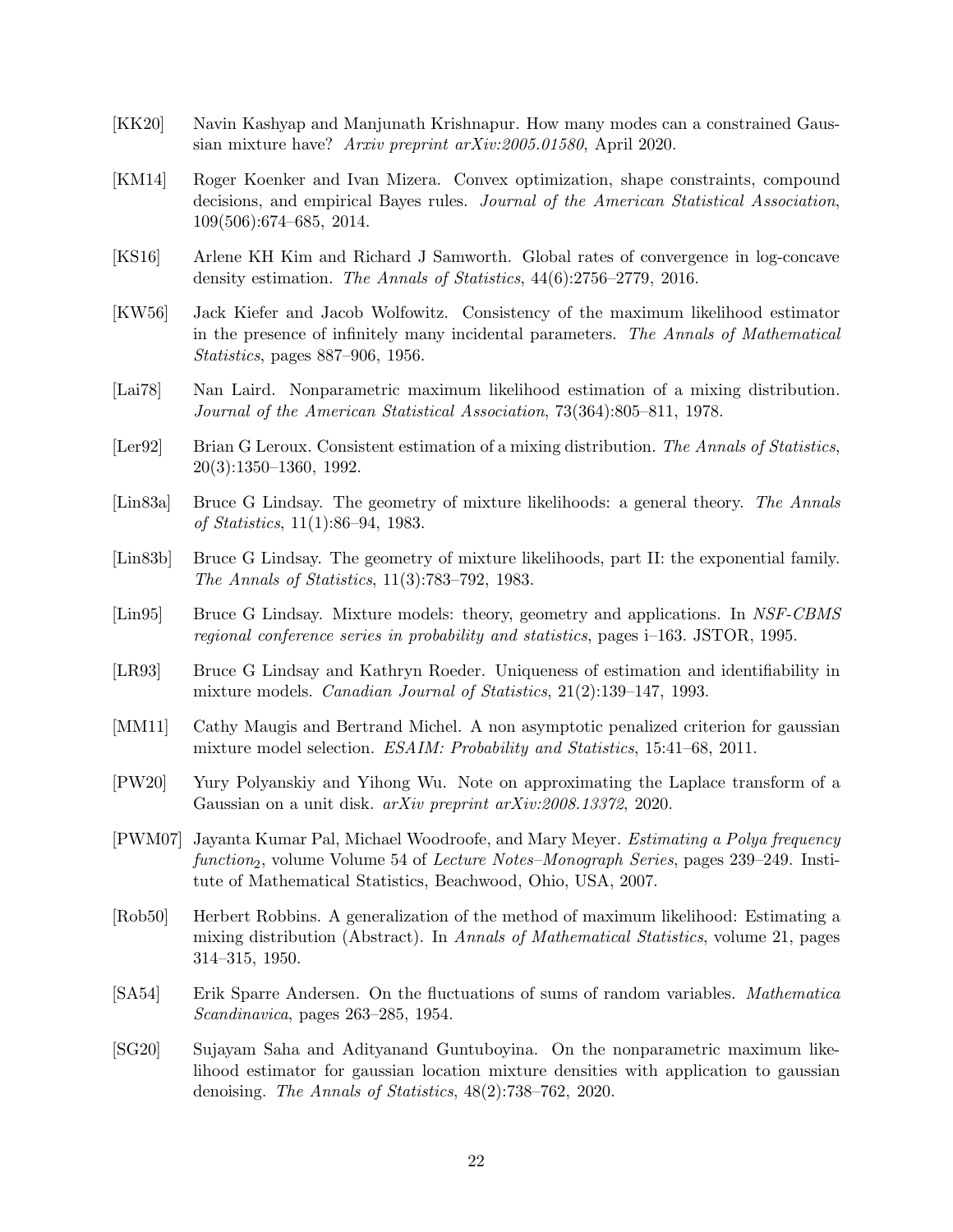- <span id="page-21-13"></span>[KK20] Navin Kashyap and Manjunath Krishnapur. How many modes can a constrained Gaussian mixture have? *Arxiv preprint arXiv:2005.01580*, April 2020.
- <span id="page-21-6"></span>[KM14] Roger Koenker and Ivan Mizera. Convex optimization, shape constraints, compound decisions, and empirical Bayes rules. *Journal of the American Statistical Association*, 109(506):674–685, 2014.
- <span id="page-21-2"></span>[KS16] Arlene KH Kim and Richard J Samworth. Global rates of convergence in log-concave density estimation. *The Annals of Statistics*, 44(6):2756–2779, 2016.
- <span id="page-21-0"></span>[KW56] Jack Kiefer and Jacob Wolfowitz. Consistency of the maximum likelihood estimator in the presence of infinitely many incidental parameters. *The Annals of Mathematical Statistics*, pages 887–906, 1956.
- <span id="page-21-7"></span>[Lai78] Nan Laird. Nonparametric maximum likelihood estimation of a mixing distribution. *Journal of the American Statistical Association*, 73(364):805–811, 1978.
- <span id="page-21-10"></span>[Ler92] Brian G Leroux. Consistent estimation of a mixing distribution. *The Annals of Statistics*, 20(3):1350–1360, 1992.
- <span id="page-21-1"></span>[Lin83a] Bruce G Lindsay. The geometry of mixture likelihoods: a general theory. *The Annals of Statistics*, 11(1):86–94, 1983.
- <span id="page-21-8"></span>[Lin83b] Bruce G Lindsay. The geometry of mixture likelihoods, part II: the exponential family. *The Annals of Statistics*, 11(3):783–792, 1983.
- <span id="page-21-3"></span>[Lin95] Bruce G Lindsay. Mixture models: theory, geometry and applications. In *NSF-CBMS regional conference series in probability and statistics*, pages i–163. JSTOR, 1995.
- <span id="page-21-9"></span>[LR93] Bruce G Lindsay and Kathryn Roeder. Uniqueness of estimation and identifiability in mixture models. *Canadian Journal of Statistics*, 21(2):139–147, 1993.
- <span id="page-21-11"></span>[MM11] Cathy Maugis and Bertrand Michel. A non asymptotic penalized criterion for gaussian mixture model selection. *ESAIM: Probability and Statistics*, 15:41–68, 2011.
- <span id="page-21-12"></span>[PW20] Yury Polyanskiy and Yihong Wu. Note on approximating the Laplace transform of a Gaussian on a unit disk. *arXiv preprint arXiv:2008.13372*, 2020.
- <span id="page-21-15"></span>[PWM07] Jayanta Kumar Pal, Michael Woodroofe, and Mary Meyer. *Estimating a Polya frequency function*2, volume Volume 54 of *Lecture Notes–Monograph Series*, pages 239–249. Institute of Mathematical Statistics, Beachwood, Ohio, USA, 2007.
- <span id="page-21-5"></span>[Rob50] Herbert Robbins. A generalization of the method of maximum likelihood: Estimating a mixing distribution (Abstract). In *Annals of Mathematical Statistics*, volume 21, pages 314–315, 1950.
- <span id="page-21-14"></span>[SA54] Erik Sparre Andersen. On the fluctuations of sums of random variables. *Mathematica Scandinavica*, pages 263–285, 1954.
- <span id="page-21-4"></span>[SG20] Sujayam Saha and Adityanand Guntuboyina. On the nonparametric maximum likelihood estimator for gaussian location mixture densities with application to gaussian denoising. *The Annals of Statistics*, 48(2):738–762, 2020.